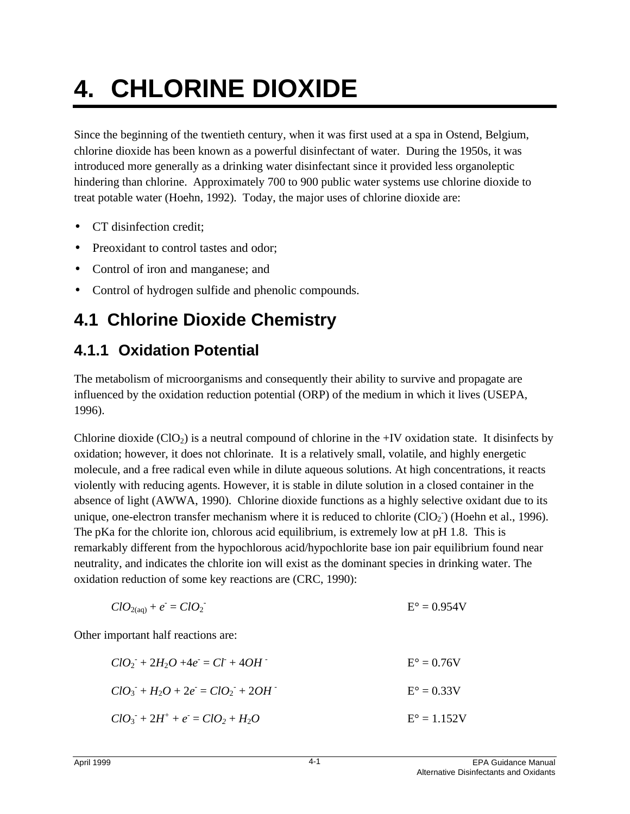# **4. CHLORINE DIOXIDE**

Since the beginning of the twentieth century, when it was first used at a spa in Ostend, Belgium, chlorine dioxide has been known as a powerful disinfectant of water. During the 1950s, it was introduced more generally as a drinking water disinfectant since it provided less organoleptic hindering than chlorine. Approximately 700 to 900 public water systems use chlorine dioxide to treat potable water (Hoehn, 1992). Today, the major uses of chlorine dioxide are:

- CT disinfection credit;
- Preoxidant to control tastes and odor;
- Control of iron and manganese; and
- Control of hydrogen sulfide and phenolic compounds.

# **4.1 Chlorine Dioxide Chemistry**

### **4.1.1 Oxidation Potential**

The metabolism of microorganisms and consequently their ability to survive and propagate are influenced by the oxidation reduction potential (ORP) of the medium in which it lives (USEPA, 1996).

Chlorine dioxide  $(CIO<sub>2</sub>)$  is a neutral compound of chlorine in the  $+IV$  oxidation state. It disinfects by oxidation; however, it does not chlorinate. It is a relatively small, volatile, and highly energetic molecule, and a free radical even while in dilute aqueous solutions. At high concentrations, it reacts violently with reducing agents. However, it is stable in dilute solution in a closed container in the absence of light (AWWA, 1990). Chlorine dioxide functions as a highly selective oxidant due to its unique, one-electron transfer mechanism where it is reduced to chlorite  $(CIO<sub>2</sub>)$  (Hoehn et al., 1996). The pKa for the chlorite ion, chlorous acid equilibrium, is extremely low at pH 1.8. This is remarkably different from the hypochlorous acid/hypochlorite base ion pair equilibrium found near neutrality, and indicates the chlorite ion will exist as the dominant species in drinking water. The oxidation reduction of some key reactions are (CRC, 1990):

$$
ClO_{2(aq)} + e = ClO_2
$$
  $E^{\circ} = 0.954V$ 

Other important half reactions are:

| $ClO_2 + 2H_2O + 4e = Cl + 4OH$   | $E^{\circ} = 0.76V$  |
|-----------------------------------|----------------------|
| $ClO_3 + H_2O + 2e = ClO_2 + 2OH$ | $E^{\circ} = 0.33V$  |
| $ClO_3 + 2H^+ + e = ClO_2 + H_2O$ | $E^{\circ} = 1.152V$ |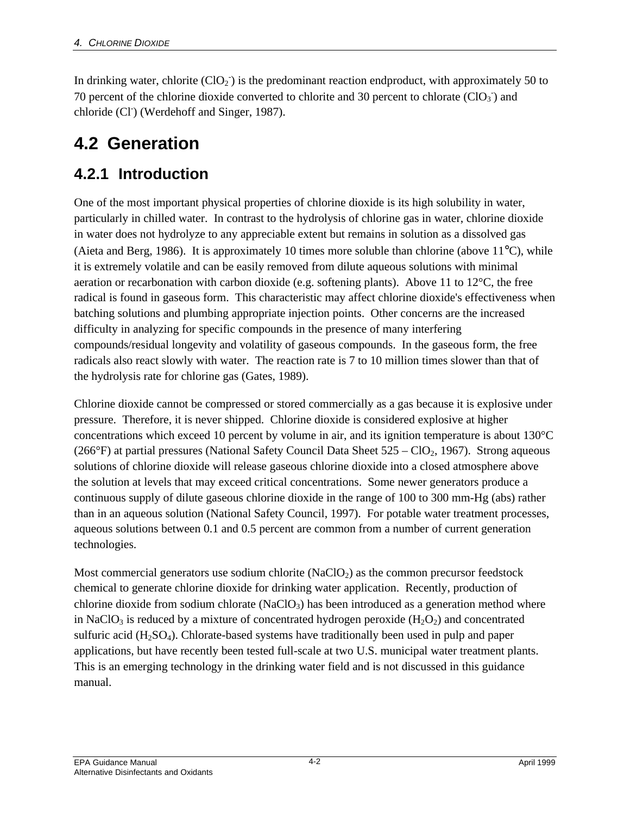In drinking water, chlorite (ClO<sub>2</sub>) is the predominant reaction endproduct, with approximately 50 to 70 percent of the chlorine dioxide converted to chlorite and 30 percent to chlorate  $(CIO<sub>3</sub>)$  and chloride (Cl<sup>-</sup>) (Werdehoff and Singer, 1987).

# **4.2 Generation**

### **4.2.1 Introduction**

One of the most important physical properties of chlorine dioxide is its high solubility in water, particularly in chilled water. In contrast to the hydrolysis of chlorine gas in water, chlorine dioxide in water does not hydrolyze to any appreciable extent but remains in solution as a dissolved gas (Aieta and Berg, 1986). It is approximately 10 times more soluble than chlorine (above  $11^{\circ}$ C), while it is extremely volatile and can be easily removed from dilute aqueous solutions with minimal aeration or recarbonation with carbon dioxide (e.g. softening plants). Above 11 to 12°C, the free radical is found in gaseous form. This characteristic may affect chlorine dioxide's effectiveness when batching solutions and plumbing appropriate injection points. Other concerns are the increased difficulty in analyzing for specific compounds in the presence of many interfering compounds/residual longevity and volatility of gaseous compounds. In the gaseous form, the free radicals also react slowly with water. The reaction rate is 7 to 10 million times slower than that of the hydrolysis rate for chlorine gas (Gates, 1989).

Chlorine dioxide cannot be compressed or stored commercially as a gas because it is explosive under pressure. Therefore, it is never shipped. Chlorine dioxide is considered explosive at higher concentrations which exceed 10 percent by volume in air, and its ignition temperature is about 130°C (266 $\degree$ F) at partial pressures (National Safety Council Data Sheet 525 – ClO<sub>2</sub>, 1967). Strong aqueous solutions of chlorine dioxide will release gaseous chlorine dioxide into a closed atmosphere above the solution at levels that may exceed critical concentrations. Some newer generators produce a continuous supply of dilute gaseous chlorine dioxide in the range of 100 to 300 mm-Hg (abs) rather than in an aqueous solution (National Safety Council, 1997). For potable water treatment processes, aqueous solutions between 0.1 and 0.5 percent are common from a number of current generation technologies.

Most commercial generators use sodium chlorite  $(NaCIO<sub>2</sub>)$  as the common precursor feedstock chemical to generate chlorine dioxide for drinking water application. Recently, production of chlorine dioxide from sodium chlorate (NaClO<sub>3</sub>) has been introduced as a generation method where in NaClO<sub>3</sub> is reduced by a mixture of concentrated hydrogen peroxide  $(H_2O_2)$  and concentrated sulfuric acid  $(H<sub>2</sub>SO<sub>4</sub>)$ . Chlorate-based systems have traditionally been used in pulp and paper applications, but have recently been tested full-scale at two U.S. municipal water treatment plants. This is an emerging technology in the drinking water field and is not discussed in this guidance manual.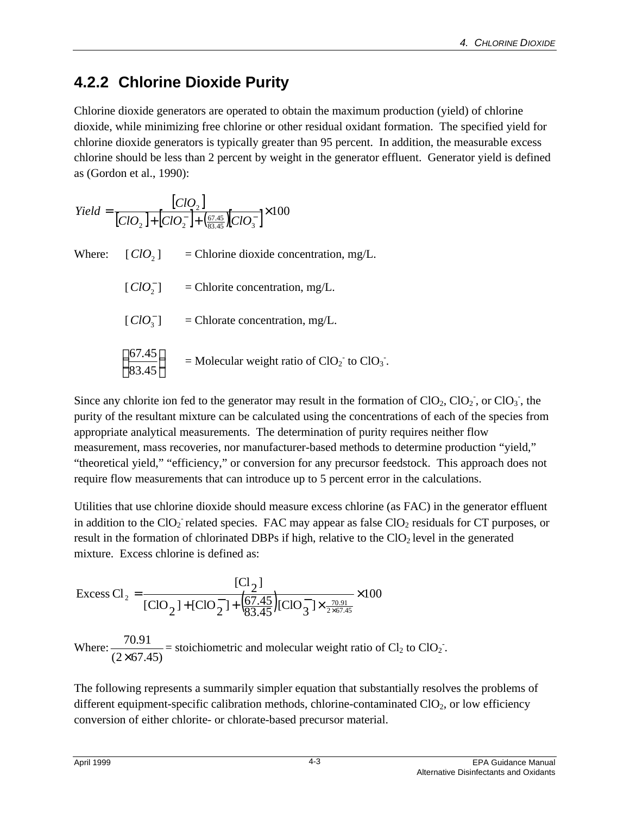# **4.2.2 Chlorine Dioxide Purity**

Chlorine dioxide generators are operated to obtain the maximum production (yield) of chlorine dioxide, while minimizing free chlorine or other residual oxidant formation. The specified yield for chlorine dioxide generators is typically greater than 95 percent. In addition, the measurable excess chlorine should be less than 2 percent by weight in the generator effluent. Generator yield is defined as (Gordon et al., 1990):

$$
Yield = \frac{[ClO_2]}{[ClO_2] + [ClO_2^-] + (\frac{67.45}{83.45})[ClO_3^-]} \times 100
$$

Where:  $[ClO_2]$  $=$  Chlorine dioxide concentration, mg/L.

> $[ClO_2^-]$  $=$  Chlorite concentration, mg/L.

 $[ClO_3^-]$  $=$  Chlorate concentration, mg/L.

$$
\left(\frac{67.45}{83.45}\right) \quad = \text{Molecular weight ratio of ClO}_2 \text{ to ClO}_3.
$$

Since any chlorite ion fed to the generator may result in the formation of  $ClO_2$ ,  $ClO_2$ , or  $ClO_3$ , the purity of the resultant mixture can be calculated using the concentrations of each of the species from appropriate analytical measurements. The determination of purity requires neither flow measurement, mass recoveries, nor manufacturer-based methods to determine production "yield," "theoretical yield," "efficiency," or conversion for any precursor feedstock. This approach does not require flow measurements that can introduce up to 5 percent error in the calculations.

Utilities that use chlorine dioxide should measure excess chlorine (as FAC) in the generator effluent in addition to the  $ClO<sub>2</sub>$  related species. FAC may appear as false  $ClO<sub>2</sub>$  residuals for CT purposes, or result in the formation of chlorinated DBPs if high, relative to the  $ClO<sub>2</sub>$  level in the generated mixture. Excess chlorine is defined as:

$$
\text{Excess Cl}_2 = \frac{[C1_2]}{[CIO_2] + [CIO_2^-] + \left(\frac{67.45}{83.45}\right)[CIO_3^-] \times \frac{70.91}{2 \times 67.45}} \times 100
$$

Where:  $(2\times 67.45)$ 70.91 × = stoichiometric and molecular weight ratio of  $Cl_2$  to  $ClO_2$ .

The following represents a summarily simpler equation that substantially resolves the problems of different equipment-specific calibration methods, chlorine-contaminated  $ClO<sub>2</sub>$ , or low efficiency conversion of either chlorite- or chlorate-based precursor material.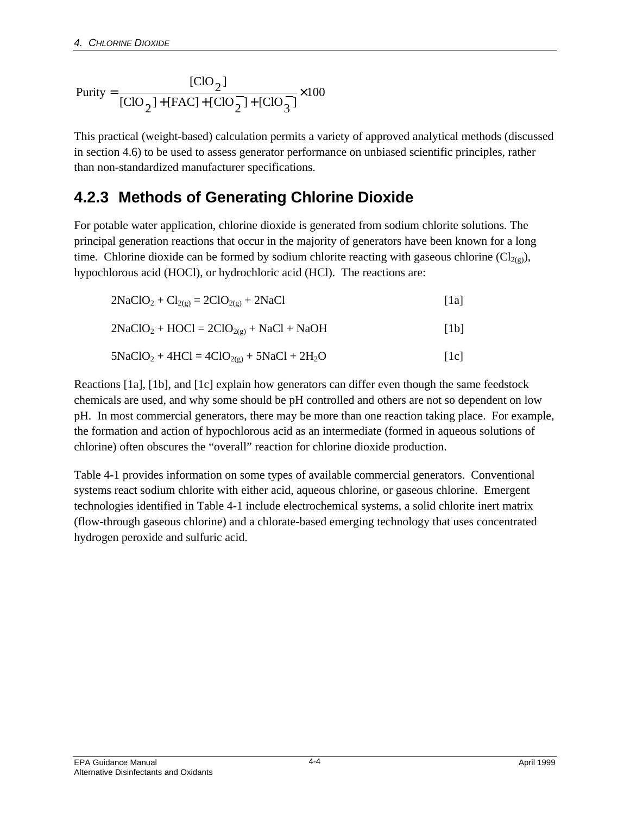$$
Purity = \frac{[CIO2]}{[CIO2]+[FAC]+[CIO2-]+[CIO3-]} \times 100
$$

This practical (weight-based) calculation permits a variety of approved analytical methods (discussed in section 4.6) to be used to assess generator performance on unbiased scientific principles, rather than non-standardized manufacturer specifications.

### **4.2.3 Methods of Generating Chlorine Dioxide**

For potable water application, chlorine dioxide is generated from sodium chlorite solutions. The principal generation reactions that occur in the majority of generators have been known for a long time. Chlorine dioxide can be formed by sodium chlorite reacting with gaseous chlorine  $(Cl_{2(g)})$ , hypochlorous acid (HOCl), or hydrochloric acid (HCl). The reactions are:

$$
2NaClO2 + Cl2(g) = 2ClO2(g) + 2NaCl
$$
 [1a]

$$
2NaClO2 + HOCI = 2ClO2(g) + NaCl + NaOH
$$
 [1b]

$$
5NaClO2 + 4HCl = 4ClO2(g) + 5NaCl + 2H2O
$$
 [1c]

Reactions [1a], [1b], and [1c] explain how generators can differ even though the same feedstock chemicals are used, and why some should be pH controlled and others are not so dependent on low pH. In most commercial generators, there may be more than one reaction taking place. For example, the formation and action of hypochlorous acid as an intermediate (formed in aqueous solutions of chlorine) often obscures the "overall" reaction for chlorine dioxide production.

Table 4-1 provides information on some types of available commercial generators. Conventional systems react sodium chlorite with either acid, aqueous chlorine, or gaseous chlorine. Emergent technologies identified in Table 4-1 include electrochemical systems, a solid chlorite inert matrix (flow-through gaseous chlorine) and a chlorate-based emerging technology that uses concentrated hydrogen peroxide and sulfuric acid.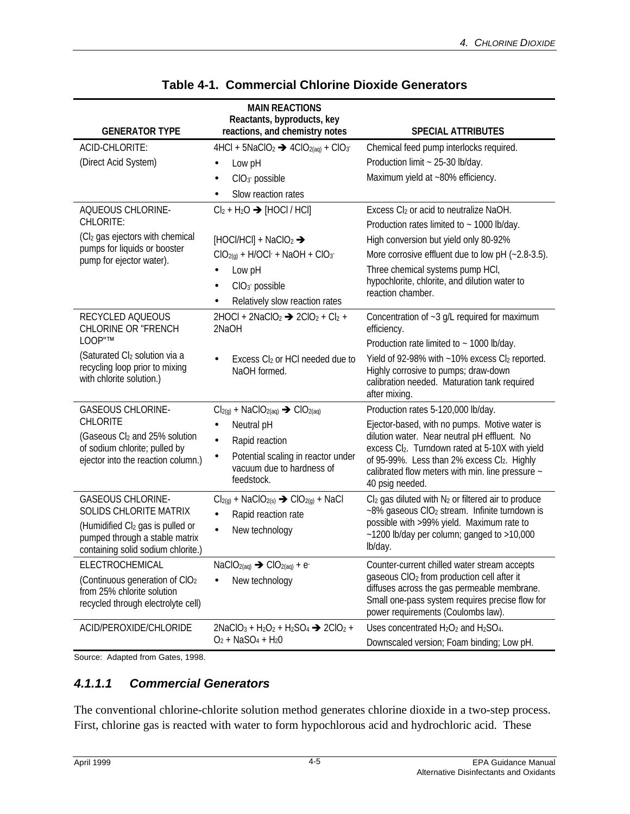| <b>GENERATOR TYPE</b>                                                                                                | <b>MAIN REACTIONS</b><br>Reactants, byproducts, key<br>reactions, and chemistry notes          | <b>SPECIAL ATTRIBUTES</b>                                                                                                                                                                      |
|----------------------------------------------------------------------------------------------------------------------|------------------------------------------------------------------------------------------------|------------------------------------------------------------------------------------------------------------------------------------------------------------------------------------------------|
| ACID-CHLORITE:                                                                                                       | 4HCl + 5NaClO <sub>2</sub> $\rightarrow$ 4ClO <sub>2(aq)</sub> + ClO <sub>3</sub> <sup>-</sup> | Chemical feed pump interlocks required.                                                                                                                                                        |
| (Direct Acid System)                                                                                                 | Low pH<br>٠                                                                                    | Production limit ~ 25-30 lb/day.                                                                                                                                                               |
|                                                                                                                      | $ClO3$ possible                                                                                | Maximum yield at ~80% efficiency.                                                                                                                                                              |
|                                                                                                                      | Slow reaction rates<br>$\bullet$                                                               |                                                                                                                                                                                                |
| AQUEOUS CHLORINE-                                                                                                    | $Cl_2 + H_2O \rightarrow [HOCI/HCI]$                                                           | Excess Cl <sub>2</sub> or acid to neutralize NaOH.                                                                                                                                             |
| CHLORITE:                                                                                                            |                                                                                                | Production rates limited to ~ 1000 lb/day.                                                                                                                                                     |
| (Cl2 gas ejectors with chemical                                                                                      | $[HOCI/HCI] + NaClO2 \rightarrow$                                                              | High conversion but yield only 80-92%                                                                                                                                                          |
| pumps for liquids or booster<br>pump for ejector water).                                                             | $ClO_{2(g)}$ + H/OCl + NaOH + ClO <sub>3</sub>                                                 | More corrosive effluent due to low $pH$ (~2.8-3.5).                                                                                                                                            |
|                                                                                                                      | Low pH                                                                                         | Three chemical systems pump HCl,                                                                                                                                                               |
|                                                                                                                      | $ClO3$ possible<br>٠                                                                           | hypochlorite, chlorite, and dilution water to<br>reaction chamber.                                                                                                                             |
|                                                                                                                      | Relatively slow reaction rates                                                                 |                                                                                                                                                                                                |
| RECYCLED AQUEOUS<br>CHLORINE OR "FRENCH                                                                              | $2HOCI + 2NaClO2$ $\rightarrow$ $2ClO2 + Cl2$ +<br>2NaOH                                       | Concentration of ~3 g/L required for maximum<br>efficiency.                                                                                                                                    |
| LOOP"™                                                                                                               |                                                                                                | Production rate limited to $\sim$ 1000 lb/day.                                                                                                                                                 |
| (Saturated Cl2 solution via a<br>recycling loop prior to mixing<br>with chlorite solution.)                          | Excess Cl <sub>2</sub> or HCI needed due to<br>NaOH formed.                                    | Yield of 92-98% with ~10% excess Cl2 reported.<br>Highly corrosive to pumps; draw-down<br>calibration needed. Maturation tank required<br>after mixing.                                        |
| <b>GASEOUS CHLORINE-</b>                                                                                             | $Cl_{2(g)}$ + NaClO <sub>2(aq)</sub> $\rightarrow$ ClO <sub>2(aq)</sub>                        | Production rates 5-120,000 lb/day.                                                                                                                                                             |
| CHLORITE                                                                                                             | Neutral pH                                                                                     | Ejector-based, with no pumps. Motive water is                                                                                                                                                  |
| (Gaseous Cl2 and 25% solution<br>of sodium chlorite; pulled by                                                       | Rapid reaction<br>$\bullet$                                                                    | dilution water. Near neutral pH effluent. No<br>excess Cl2. Turndown rated at 5-10X with yield                                                                                                 |
| ejector into the reaction column.)                                                                                   | Potential scaling in reactor under<br>vacuum due to hardness of<br>feedstock.                  | of 95-99%. Less than 2% excess Cl2. Highly<br>calibrated flow meters with min. line pressure ~<br>40 psig needed.                                                                              |
| GASEOUS CHLORINE-                                                                                                    | $Cl_{2(g)}$ + NaClO <sub>2(s)</sub> $\rightarrow$ ClO <sub>2(g)</sub> + NaCl                   | $Cl2$ gas diluted with $N2$ or filtered air to produce                                                                                                                                         |
| SOLIDS CHLORITE MATRIX                                                                                               | Rapid reaction rate<br>$\bullet$                                                               | ~8% gaseous CIO2 stream. Infinite turndown is<br>possible with >99% yield. Maximum rate to                                                                                                     |
| (Humidified Cl <sub>2</sub> gas is pulled or<br>pumped through a stable matrix<br>containing solid sodium chlorite.) | New technology                                                                                 | $~1200$ lb/day per column; ganged to $~10,000$<br>lb/day.                                                                                                                                      |
| ELECTROCHEMICAL                                                                                                      | $NaClO2(aq)$ $\rightarrow$ $ClO2(aq) + e-$                                                     | Counter-current chilled water stream accepts                                                                                                                                                   |
| (Continuous generation of CIO <sub>2</sub><br>from 25% chlorite solution<br>recycled through electrolyte cell)       | New technology<br>٠                                                                            | gaseous CIO <sub>2</sub> from production cell after it<br>diffuses across the gas permeable membrane.<br>Small one-pass system requires precise flow for<br>power requirements (Coulombs law). |
| ACID/PEROXIDE/CHLORIDE                                                                                               | $2NaClO3 + H2O2 + H2SO4$ $\rightarrow$ $2ClO2 +$                                               | Uses concentrated H <sub>2</sub> O <sub>2</sub> and H <sub>2</sub> SO <sub>4</sub> .                                                                                                           |
|                                                                                                                      | $O_2$ + NaSO <sub>4</sub> + H <sub>2</sub> O                                                   | Downscaled version; Foam binding; Low pH.                                                                                                                                                      |

#### **Table 4-1. Commercial Chlorine Dioxide Generators**

Source: Adapted from Gates, 1998.

#### *4.1.1.1 Commercial Generators*

The conventional chlorine-chlorite solution method generates chlorine dioxide in a two-step process. First, chlorine gas is reacted with water to form hypochlorous acid and hydrochloric acid. These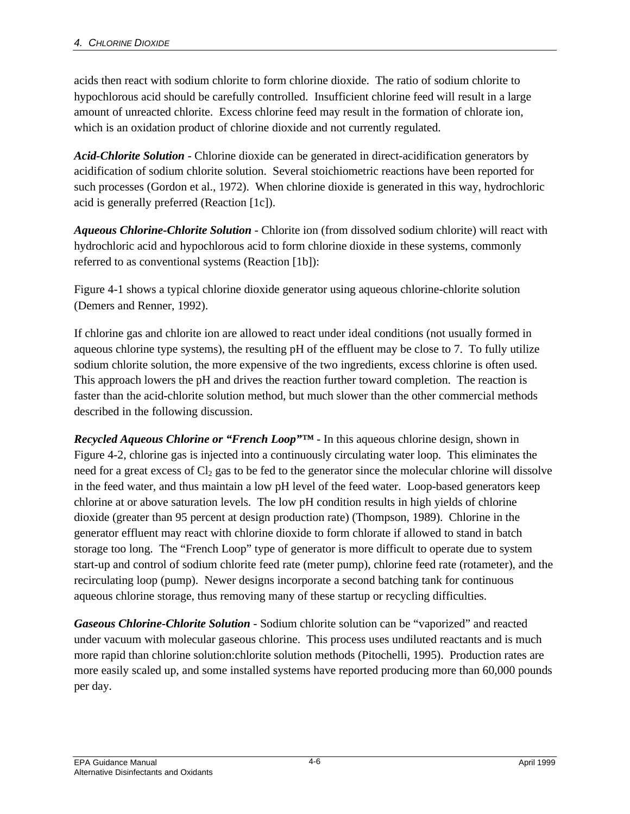acids then react with sodium chlorite to form chlorine dioxide. The ratio of sodium chlorite to hypochlorous acid should be carefully controlled. Insufficient chlorine feed will result in a large amount of unreacted chlorite. Excess chlorine feed may result in the formation of chlorate ion, which is an oxidation product of chlorine dioxide and not currently regulated.

*Acid-Chlorite Solution* - Chlorine dioxide can be generated in direct-acidification generators by acidification of sodium chlorite solution. Several stoichiometric reactions have been reported for such processes (Gordon et al., 1972). When chlorine dioxide is generated in this way, hydrochloric acid is generally preferred (Reaction [1c]).

*Aqueous Chlorine-Chlorite Solution* - Chlorite ion (from dissolved sodium chlorite) will react with hydrochloric acid and hypochlorous acid to form chlorine dioxide in these systems, commonly referred to as conventional systems (Reaction [1b]):

Figure 4-1 shows a typical chlorine dioxide generator using aqueous chlorine-chlorite solution (Demers and Renner, 1992).

If chlorine gas and chlorite ion are allowed to react under ideal conditions (not usually formed in aqueous chlorine type systems), the resulting pH of the effluent may be close to 7. To fully utilize sodium chlorite solution, the more expensive of the two ingredients, excess chlorine is often used. This approach lowers the pH and drives the reaction further toward completion. The reaction is faster than the acid-chlorite solution method, but much slower than the other commercial methods described in the following discussion.

*Recycled Aqueous Chlorine or "French Loop"™* - In this aqueous chlorine design, shown in Figure 4-2, chlorine gas is injected into a continuously circulating water loop. This eliminates the need for a great excess of  $Cl_2$  gas to be fed to the generator since the molecular chlorine will dissolve in the feed water, and thus maintain a low pH level of the feed water. Loop-based generators keep chlorine at or above saturation levels. The low pH condition results in high yields of chlorine dioxide (greater than 95 percent at design production rate) (Thompson, 1989). Chlorine in the generator effluent may react with chlorine dioxide to form chlorate if allowed to stand in batch storage too long. The "French Loop" type of generator is more difficult to operate due to system start-up and control of sodium chlorite feed rate (meter pump), chlorine feed rate (rotameter), and the recirculating loop (pump). Newer designs incorporate a second batching tank for continuous aqueous chlorine storage, thus removing many of these startup or recycling difficulties.

*Gaseous Chlorine-Chlorite Solution* - Sodium chlorite solution can be "vaporized" and reacted under vacuum with molecular gaseous chlorine. This process uses undiluted reactants and is much more rapid than chlorine solution:chlorite solution methods (Pitochelli, 1995). Production rates are more easily scaled up, and some installed systems have reported producing more than 60,000 pounds per day.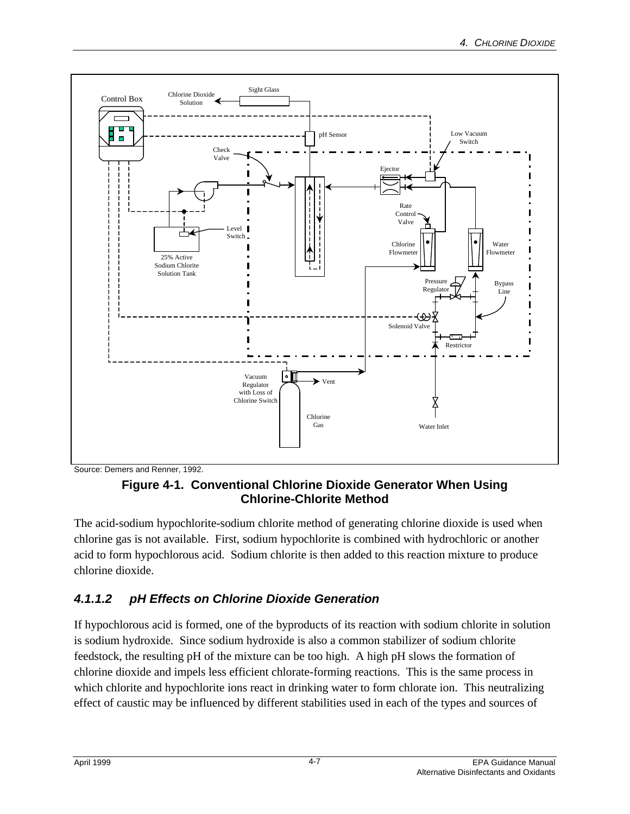

**Figure 4-1. Conventional Chlorine Dioxide Generator When Using Chlorine-Chlorite Method**

The acid-sodium hypochlorite-sodium chlorite method of generating chlorine dioxide is used when chlorine gas is not available. First, sodium hypochlorite is combined with hydrochloric or another acid to form hypochlorous acid. Sodium chlorite is then added to this reaction mixture to produce chlorine dioxide.

### *4.1.1.2 pH Effects on Chlorine Dioxide Generation*

If hypochlorous acid is formed, one of the byproducts of its reaction with sodium chlorite in solution is sodium hydroxide. Since sodium hydroxide is also a common stabilizer of sodium chlorite feedstock, the resulting pH of the mixture can be too high. A high pH slows the formation of chlorine dioxide and impels less efficient chlorate-forming reactions. This is the same process in which chlorite and hypochlorite ions react in drinking water to form chlorate ion. This neutralizing effect of caustic may be influenced by different stabilities used in each of the types and sources of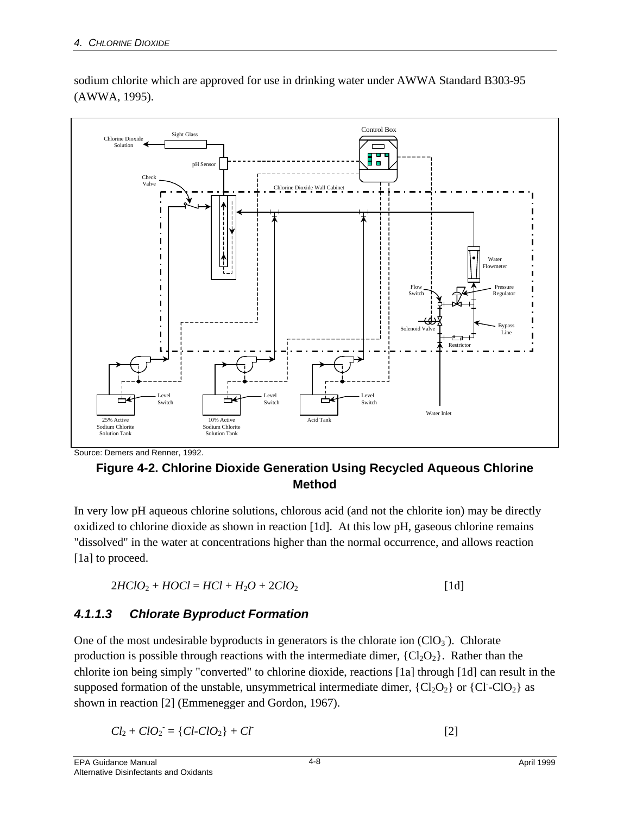

sodium chlorite which are approved for use in drinking water under AWWA Standard B303-95 (AWWA, 1995).

Source: Demers and Renner, 1992.

#### **Figure 4-2. Chlorine Dioxide Generation Using Recycled Aqueous Chlorine Method**

In very low pH aqueous chlorine solutions, chlorous acid (and not the chlorite ion) may be directly oxidized to chlorine dioxide as shown in reaction [1d]. At this low pH, gaseous chlorine remains "dissolved" in the water at concentrations higher than the normal occurrence, and allows reaction [1a] to proceed.

$$
2HClO2 + HOCl = HCl + H2O + 2ClO2
$$
 [1d]

#### *4.1.1.3 Chlorate Byproduct Formation*

One of the most undesirable byproducts in generators is the chlorate ion  $(CIO<sub>3</sub>)$ . Chlorate production is possible through reactions with the intermediate dimer,  ${Cl<sub>2</sub>O<sub>2</sub>}$ . Rather than the chlorite ion being simply "converted" to chlorine dioxide, reactions [1a] through [1d] can result in the supposed formation of the unstable, unsymmetrical intermediate dimer,  ${Cl_2O_2}$  or  ${Cl^-ClO_2}$  as shown in reaction [2] (Emmenegger and Gordon, 1967).

$$
Cl_2 + ClO_2 = \{Cl-CIO_2\} + Cl
$$
 [2]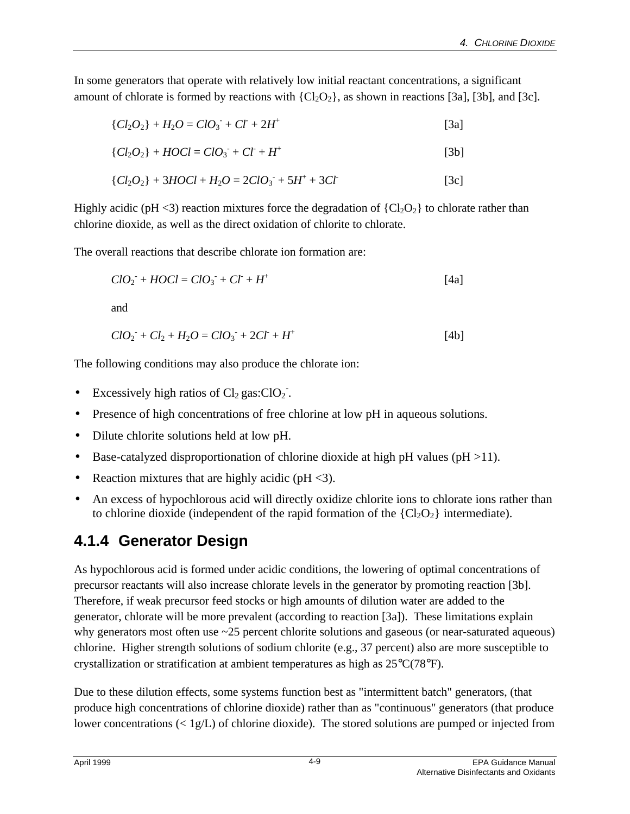In some generators that operate with relatively low initial reactant concentrations, a significant amount of chlorate is formed by reactions with  ${Cl_2O_2}$ , as shown in reactions [3a], [3b], and [3c].

$$
{Cl2O2} + H2O = ClO3 + Cl + 2H+
$$
 [3a]

$$
\{Cl_2O_2\} + HOCI = ClO_3^- + Cl + H^+
$$
 [3b]

$$
{Cl2O2} + 3HOCl + H2O = 2ClO3 + 5H+ + 3Cl
$$
 [3c]

Highly acidic (pH <3) reaction mixtures force the degradation of  ${Cl<sub>2</sub>O<sub>2</sub>}$  to chlorate rather than chlorine dioxide, as well as the direct oxidation of chlorite to chlorate.

The overall reactions that describe chlorate ion formation are:

$$
ClO_2 + HOCl = ClO_3 + Cl + H^+ \tag{4a}
$$

and

$$
ClO_2^- + Cl_2 + H_2O = ClO_3^- + 2Cl + H^+
$$
\n[4b]

The following conditions may also produce the chlorate ion:

- Excessively high ratios of  $Cl_2$  gas: $ClO_2$ .
- Presence of high concentrations of free chlorine at low pH in aqueous solutions.
- Dilute chlorite solutions held at low pH.
- Base-catalyzed disproportionation of chlorine dioxide at high pH values (pH >11).
- Reaction mixtures that are highly acidic ( $pH < 3$ ).
- An excess of hypochlorous acid will directly oxidize chlorite ions to chlorate ions rather than to chlorine dioxide (independent of the rapid formation of the  ${Cl<sub>2</sub>O<sub>2</sub>}$ ) intermediate).

### **4.1.4 Generator Design**

As hypochlorous acid is formed under acidic conditions, the lowering of optimal concentrations of precursor reactants will also increase chlorate levels in the generator by promoting reaction [3b]. Therefore, if weak precursor feed stocks or high amounts of dilution water are added to the generator, chlorate will be more prevalent (according to reaction [3a]). These limitations explain why generators most often use ~25 percent chlorite solutions and gaseous (or near-saturated aqueous) chlorine. Higher strength solutions of sodium chlorite (e.g., 37 percent) also are more susceptible to crystallization or stratification at ambient temperatures as high as  $25^{\circ}C(78^{\circ}F)$ .

Due to these dilution effects, some systems function best as "intermittent batch" generators, (that produce high concentrations of chlorine dioxide) rather than as "continuous" generators (that produce lower concentrations (< 1g/L) of chlorine dioxide). The stored solutions are pumped or injected from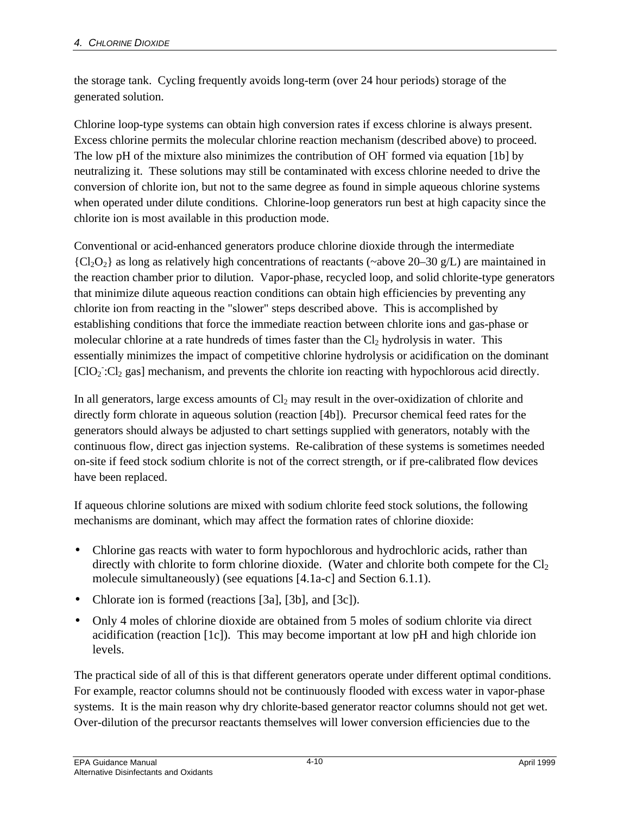the storage tank. Cycling frequently avoids long-term (over 24 hour periods) storage of the generated solution.

Chlorine loop-type systems can obtain high conversion rates if excess chlorine is always present. Excess chlorine permits the molecular chlorine reaction mechanism (described above) to proceed. The low pH of the mixture also minimizes the contribution of OH<sup>-</sup> formed via equation [1b] by neutralizing it. These solutions may still be contaminated with excess chlorine needed to drive the conversion of chlorite ion, but not to the same degree as found in simple aqueous chlorine systems when operated under dilute conditions. Chlorine-loop generators run best at high capacity since the chlorite ion is most available in this production mode.

Conventional or acid-enhanced generators produce chlorine dioxide through the intermediate  ${Cl_2O_2}$  as long as relatively high concentrations of reactants (~above 20–30 g/L) are maintained in the reaction chamber prior to dilution. Vapor-phase, recycled loop, and solid chlorite-type generators that minimize dilute aqueous reaction conditions can obtain high efficiencies by preventing any chlorite ion from reacting in the "slower" steps described above. This is accomplished by establishing conditions that force the immediate reaction between chlorite ions and gas-phase or molecular chlorine at a rate hundreds of times faster than the  $Cl<sub>2</sub>$  hydrolysis in water. This essentially minimizes the impact of competitive chlorine hydrolysis or acidification on the dominant [ClO<sub>2</sub> : Cl<sub>2</sub> gas] mechanism, and prevents the chlorite ion reacting with hypochlorous acid directly.

In all generators, large excess amounts of  $Cl_2$  may result in the over-oxidization of chlorite and directly form chlorate in aqueous solution (reaction [4b]). Precursor chemical feed rates for the generators should always be adjusted to chart settings supplied with generators, notably with the continuous flow, direct gas injection systems. Re-calibration of these systems is sometimes needed on-site if feed stock sodium chlorite is not of the correct strength, or if pre-calibrated flow devices have been replaced.

If aqueous chlorine solutions are mixed with sodium chlorite feed stock solutions, the following mechanisms are dominant, which may affect the formation rates of chlorine dioxide:

- Chlorine gas reacts with water to form hypochlorous and hydrochloric acids, rather than directly with chlorite to form chlorine dioxide. (Water and chlorite both compete for the  $Cl<sub>2</sub>$ molecule simultaneously) (see equations [4.1a-c] and Section 6.1.1).
- Chlorate ion is formed (reactions [3a], [3b], and [3c]).
- Only 4 moles of chlorine dioxide are obtained from 5 moles of sodium chlorite via direct acidification (reaction [1c]). This may become important at low pH and high chloride ion levels.

The practical side of all of this is that different generators operate under different optimal conditions. For example, reactor columns should not be continuously flooded with excess water in vapor-phase systems. It is the main reason why dry chlorite-based generator reactor columns should not get wet. Over-dilution of the precursor reactants themselves will lower conversion efficiencies due to the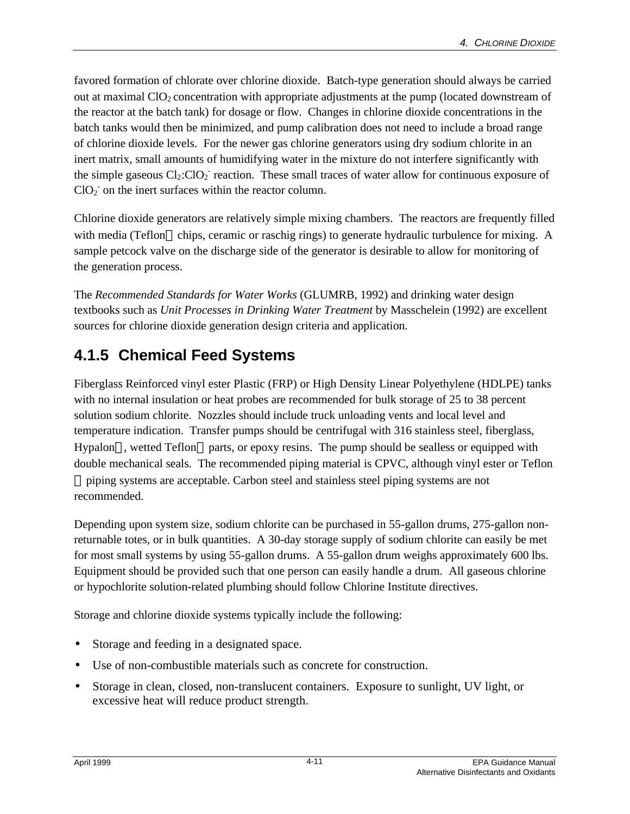favored formation of chlorate over chlorine dioxide. Batch-type generation should always be carried out at maximal ClO2 concentration with appropriate adjustments at the pump (located downstream of the reactor at the batch tank) for dosage or flow. Changes in chlorine dioxide concentrations in the batch tanks would then be minimized, and pump calibration does not need to include a broad range of chlorine dioxide levels. For the newer gas chlorine generators using dry sodium chlorite in an inert matrix, small amounts of humidifying water in the mixture do not interfere significantly with the simple gaseous  $Cl_2$ : $ClO_2$  reaction. These small traces of water allow for continuous exposure of  $ClO<sub>2</sub>$  on the inert surfaces within the reactor column.

Chlorine dioxide generators are relatively simple mixing chambers. The reactors are frequently filled with media (Teflon<sup> $\text{TM}$ </sup>chips, ceramic or raschig rings) to generate hydraulic turbulence for mixing. A sample petcock valve on the discharge side of the generator is desirable to allow for monitoring of the generation process.

The *Recommended Standards for Water Works* (GLUMRB, 1992) and drinking water design textbooks such as *Unit Processes in Drinking Water Treatment* by Masschelein (1992) are excellent sources for chlorine dioxide generation design criteria and application.

### **4.1.5 Chemical Feed Systems**

Fiberglass Reinforced vinyl ester Plastic (FRP) or High Density Linear Polyethylene (HDLPE) tanks with no internal insulation or heat probes are recommended for bulk storage of 25 to 38 percent solution sodium chlorite. Nozzles should include truck unloading vents and local level and temperature indication. Transfer pumps should be centrifugal with 316 stainless steel, fiberglass, Hypalon<sup> $\mathsf{TM}$ </sup>, wetted Teflon<sup> $\mathsf{TM}$ </sup> parts, or epoxy resins. The pump should be sealless or equipped with double mechanical seals. The recommended piping material is CPVC, although vinyl ester or Teflon ™ piping systems are acceptable. Carbon steel and stainless steel piping systems are not recommended.

Depending upon system size, sodium chlorite can be purchased in 55-gallon drums, 275-gallon nonreturnable totes, or in bulk quantities. A 30-day storage supply of sodium chlorite can easily be met for most small systems by using 55-gallon drums. A 55-gallon drum weighs approximately 600 lbs. Equipment should be provided such that one person can easily handle a drum. All gaseous chlorine or hypochlorite solution-related plumbing should follow Chlorine Institute directives.

Storage and chlorine dioxide systems typically include the following:

- Storage and feeding in a designated space.
- Use of non-combustible materials such as concrete for construction.
- Storage in clean, closed, non-translucent containers. Exposure to sunlight, UV light, or excessive heat will reduce product strength.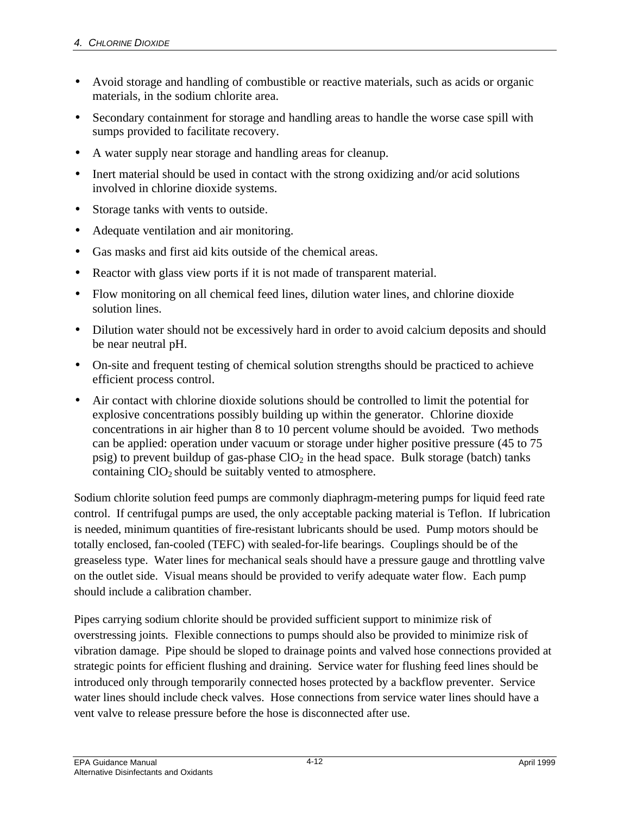- Avoid storage and handling of combustible or reactive materials, such as acids or organic materials, in the sodium chlorite area.
- Secondary containment for storage and handling areas to handle the worse case spill with sumps provided to facilitate recovery.
- A water supply near storage and handling areas for cleanup.
- Inert material should be used in contact with the strong oxidizing and/or acid solutions involved in chlorine dioxide systems.
- Storage tanks with vents to outside.
- Adequate ventilation and air monitoring.
- Gas masks and first aid kits outside of the chemical areas.
- Reactor with glass view ports if it is not made of transparent material.
- Flow monitoring on all chemical feed lines, dilution water lines, and chlorine dioxide solution lines.
- Dilution water should not be excessively hard in order to avoid calcium deposits and should be near neutral pH.
- On-site and frequent testing of chemical solution strengths should be practiced to achieve efficient process control.
- Air contact with chlorine dioxide solutions should be controlled to limit the potential for explosive concentrations possibly building up within the generator. Chlorine dioxide concentrations in air higher than 8 to 10 percent volume should be avoided. Two methods can be applied: operation under vacuum or storage under higher positive pressure (45 to 75 psig) to prevent buildup of gas-phase  $ClO<sub>2</sub>$  in the head space. Bulk storage (batch) tanks containing  $ClO<sub>2</sub>$  should be suitably vented to atmosphere.

Sodium chlorite solution feed pumps are commonly diaphragm-metering pumps for liquid feed rate control. If centrifugal pumps are used, the only acceptable packing material is Teflon. If lubrication is needed, minimum quantities of fire-resistant lubricants should be used. Pump motors should be totally enclosed, fan-cooled (TEFC) with sealed-for-life bearings. Couplings should be of the greaseless type. Water lines for mechanical seals should have a pressure gauge and throttling valve on the outlet side. Visual means should be provided to verify adequate water flow. Each pump should include a calibration chamber.

Pipes carrying sodium chlorite should be provided sufficient support to minimize risk of overstressing joints. Flexible connections to pumps should also be provided to minimize risk of vibration damage. Pipe should be sloped to drainage points and valved hose connections provided at strategic points for efficient flushing and draining. Service water for flushing feed lines should be introduced only through temporarily connected hoses protected by a backflow preventer. Service water lines should include check valves. Hose connections from service water lines should have a vent valve to release pressure before the hose is disconnected after use.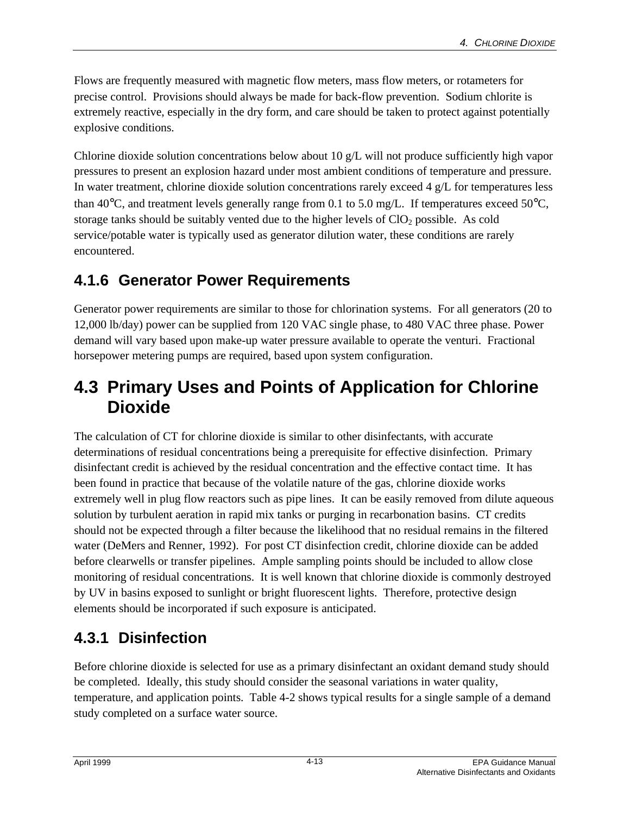Flows are frequently measured with magnetic flow meters, mass flow meters, or rotameters for precise control. Provisions should always be made for back-flow prevention. Sodium chlorite is extremely reactive, especially in the dry form, and care should be taken to protect against potentially explosive conditions.

Chlorine dioxide solution concentrations below about 10 g/L will not produce sufficiently high vapor pressures to present an explosion hazard under most ambient conditions of temperature and pressure. In water treatment, chlorine dioxide solution concentrations rarely exceed 4 g/L for temperatures less than 40°C, and treatment levels generally range from 0.1 to 5.0 mg/L. If temperatures exceed 50°C, storage tanks should be suitably vented due to the higher levels of  $ClO<sub>2</sub>$  possible. As cold service/potable water is typically used as generator dilution water, these conditions are rarely encountered.

### **4.1.6 Generator Power Requirements**

Generator power requirements are similar to those for chlorination systems. For all generators (20 to 12,000 lb/day) power can be supplied from 120 VAC single phase, to 480 VAC three phase. Power demand will vary based upon make-up water pressure available to operate the venturi. Fractional horsepower metering pumps are required, based upon system configuration.

# **4.3 Primary Uses and Points of Application for Chlorine Dioxide**

The calculation of CT for chlorine dioxide is similar to other disinfectants, with accurate determinations of residual concentrations being a prerequisite for effective disinfection. Primary disinfectant credit is achieved by the residual concentration and the effective contact time. It has been found in practice that because of the volatile nature of the gas, chlorine dioxide works extremely well in plug flow reactors such as pipe lines. It can be easily removed from dilute aqueous solution by turbulent aeration in rapid mix tanks or purging in recarbonation basins. CT credits should not be expected through a filter because the likelihood that no residual remains in the filtered water (DeMers and Renner, 1992). For post CT disinfection credit, chlorine dioxide can be added before clearwells or transfer pipelines. Ample sampling points should be included to allow close monitoring of residual concentrations. It is well known that chlorine dioxide is commonly destroyed by UV in basins exposed to sunlight or bright fluorescent lights. Therefore, protective design elements should be incorporated if such exposure is anticipated.

### **4.3.1 Disinfection**

Before chlorine dioxide is selected for use as a primary disinfectant an oxidant demand study should be completed. Ideally, this study should consider the seasonal variations in water quality, temperature, and application points. Table 4-2 shows typical results for a single sample of a demand study completed on a surface water source.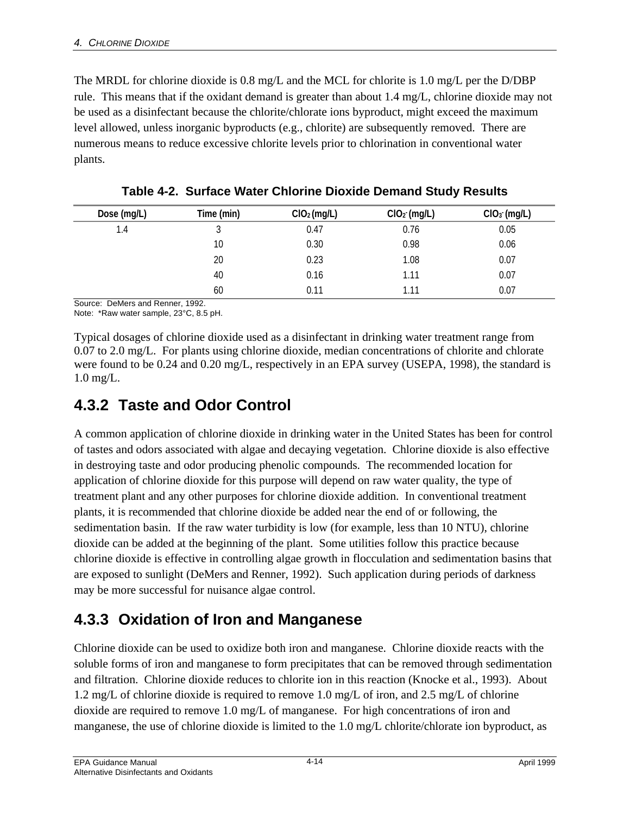The MRDL for chlorine dioxide is 0.8 mg/L and the MCL for chlorite is 1.0 mg/L per the D/DBP rule. This means that if the oxidant demand is greater than about 1.4 mg/L, chlorine dioxide may not be used as a disinfectant because the chlorite/chlorate ions byproduct, might exceed the maximum level allowed, unless inorganic byproducts (e.g., chlorite) are subsequently removed. There are numerous means to reduce excessive chlorite levels prior to chlorination in conventional water plants.

| Dose (mg/L) | Time (min) | ClO <sub>2</sub> (mg/L) | $ClO2$ (mg/L) | $ClO3$ (mg/L) |
|-------------|------------|-------------------------|---------------|---------------|
| 1.4         | 3          | 0.47                    | 0.76          | 0.05          |
|             | 10         | 0.30                    | 0.98          | 0.06          |
|             | 20         | 0.23                    | 1.08          | 0.07          |
|             | 40         | 0.16                    | 1.11          | 0.07          |
|             | 60         | 0.11                    | 1.11          | 0.07          |

**Table 4-2. Surface Water Chlorine Dioxide Demand Study Results**

Source: DeMers and Renner, 1992. Note: \*Raw water sample, 23°C, 8.5 pH.

Typical dosages of chlorine dioxide used as a disinfectant in drinking water treatment range from 0.07 to 2.0 mg/L. For plants using chlorine dioxide, median concentrations of chlorite and chlorate were found to be 0.24 and 0.20 mg/L, respectively in an EPA survey (USEPA, 1998), the standard is 1.0 mg/L.

### **4.3.2 Taste and Odor Control**

A common application of chlorine dioxide in drinking water in the United States has been for control of tastes and odors associated with algae and decaying vegetation. Chlorine dioxide is also effective in destroying taste and odor producing phenolic compounds. The recommended location for application of chlorine dioxide for this purpose will depend on raw water quality, the type of treatment plant and any other purposes for chlorine dioxide addition. In conventional treatment plants, it is recommended that chlorine dioxide be added near the end of or following, the sedimentation basin. If the raw water turbidity is low (for example, less than 10 NTU), chlorine dioxide can be added at the beginning of the plant. Some utilities follow this practice because chlorine dioxide is effective in controlling algae growth in flocculation and sedimentation basins that are exposed to sunlight (DeMers and Renner, 1992). Such application during periods of darkness may be more successful for nuisance algae control.

### **4.3.3 Oxidation of Iron and Manganese**

Chlorine dioxide can be used to oxidize both iron and manganese. Chlorine dioxide reacts with the soluble forms of iron and manganese to form precipitates that can be removed through sedimentation and filtration. Chlorine dioxide reduces to chlorite ion in this reaction (Knocke et al., 1993). About 1.2 mg/L of chlorine dioxide is required to remove 1.0 mg/L of iron, and 2.5 mg/L of chlorine dioxide are required to remove 1.0 mg/L of manganese. For high concentrations of iron and manganese, the use of chlorine dioxide is limited to the 1.0 mg/L chlorite/chlorate ion byproduct, as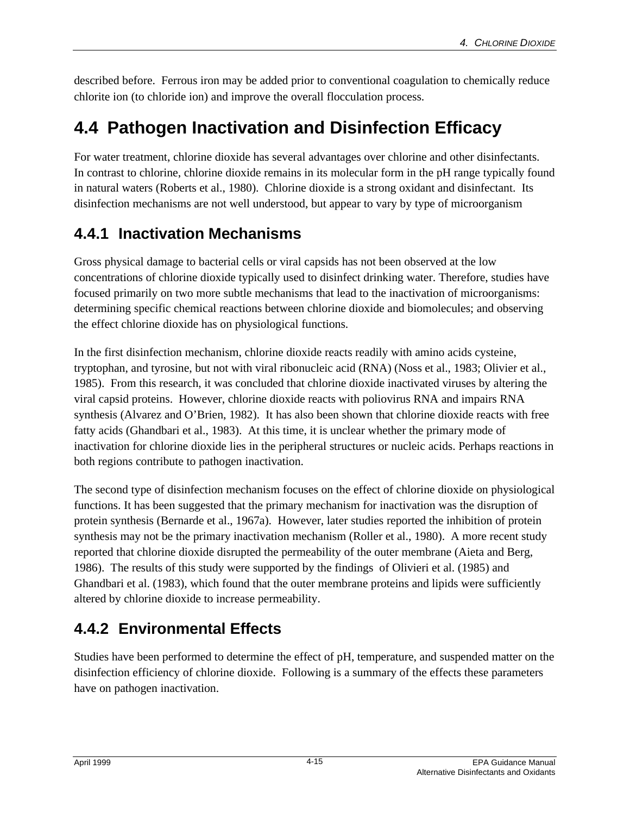described before. Ferrous iron may be added prior to conventional coagulation to chemically reduce chlorite ion (to chloride ion) and improve the overall flocculation process.

# **4.4 Pathogen Inactivation and Disinfection Efficacy**

For water treatment, chlorine dioxide has several advantages over chlorine and other disinfectants. In contrast to chlorine, chlorine dioxide remains in its molecular form in the pH range typically found in natural waters (Roberts et al., 1980). Chlorine dioxide is a strong oxidant and disinfectant. Its disinfection mechanisms are not well understood, but appear to vary by type of microorganism

### **4.4.1 Inactivation Mechanisms**

Gross physical damage to bacterial cells or viral capsids has not been observed at the low concentrations of chlorine dioxide typically used to disinfect drinking water. Therefore, studies have focused primarily on two more subtle mechanisms that lead to the inactivation of microorganisms: determining specific chemical reactions between chlorine dioxide and biomolecules; and observing the effect chlorine dioxide has on physiological functions.

In the first disinfection mechanism, chlorine dioxide reacts readily with amino acids cysteine, tryptophan, and tyrosine, but not with viral ribonucleic acid (RNA) (Noss et al., 1983; Olivier et al., 1985). From this research, it was concluded that chlorine dioxide inactivated viruses by altering the viral capsid proteins. However, chlorine dioxide reacts with poliovirus RNA and impairs RNA synthesis (Alvarez and O'Brien, 1982). It has also been shown that chlorine dioxide reacts with free fatty acids (Ghandbari et al., 1983). At this time, it is unclear whether the primary mode of inactivation for chlorine dioxide lies in the peripheral structures or nucleic acids. Perhaps reactions in both regions contribute to pathogen inactivation.

The second type of disinfection mechanism focuses on the effect of chlorine dioxide on physiological functions. It has been suggested that the primary mechanism for inactivation was the disruption of protein synthesis (Bernarde et al., 1967a). However, later studies reported the inhibition of protein synthesis may not be the primary inactivation mechanism (Roller et al., 1980). A more recent study reported that chlorine dioxide disrupted the permeability of the outer membrane (Aieta and Berg, 1986). The results of this study were supported by the findings of Olivieri et al. (1985) and Ghandbari et al. (1983), which found that the outer membrane proteins and lipids were sufficiently altered by chlorine dioxide to increase permeability.

### **4.4.2 Environmental Effects**

Studies have been performed to determine the effect of pH, temperature, and suspended matter on the disinfection efficiency of chlorine dioxide. Following is a summary of the effects these parameters have on pathogen inactivation.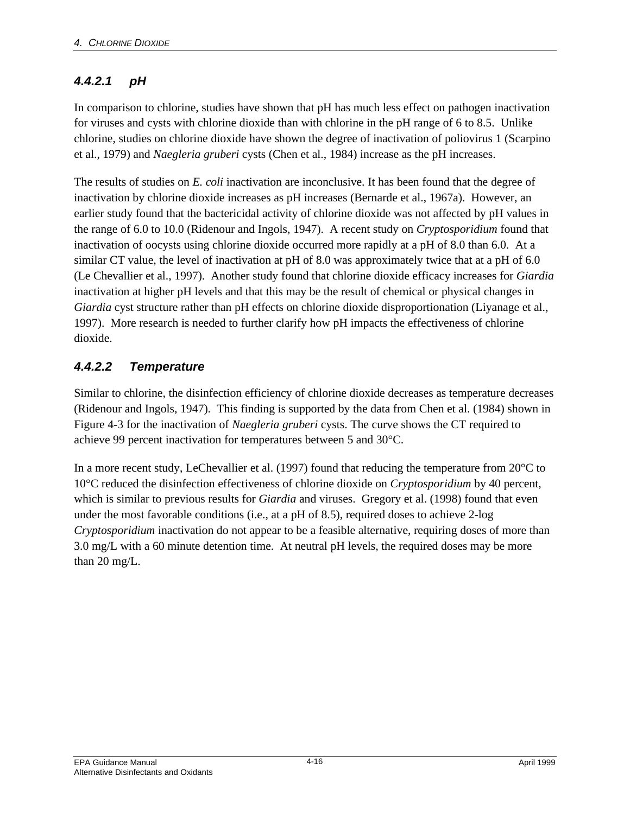#### *4.4.2.1 pH*

In comparison to chlorine, studies have shown that pH has much less effect on pathogen inactivation for viruses and cysts with chlorine dioxide than with chlorine in the pH range of 6 to 8.5. Unlike chlorine, studies on chlorine dioxide have shown the degree of inactivation of poliovirus 1 (Scarpino et al., 1979) and *Naegleria gruberi* cysts (Chen et al., 1984) increase as the pH increases.

The results of studies on *E. coli* inactivation are inconclusive. It has been found that the degree of inactivation by chlorine dioxide increases as pH increases (Bernarde et al., 1967a). However, an earlier study found that the bactericidal activity of chlorine dioxide was not affected by pH values in the range of 6.0 to 10.0 (Ridenour and Ingols, 1947). A recent study on *Cryptosporidium* found that inactivation of oocysts using chlorine dioxide occurred more rapidly at a pH of 8.0 than 6.0. At a similar CT value, the level of inactivation at pH of 8.0 was approximately twice that at a pH of 6.0 (Le Chevallier et al., 1997). Another study found that chlorine dioxide efficacy increases for *Giardia* inactivation at higher pH levels and that this may be the result of chemical or physical changes in *Giardia* cyst structure rather than pH effects on chlorine dioxide disproportionation (Liyanage et al., 1997). More research is needed to further clarify how pH impacts the effectiveness of chlorine dioxide.

#### *4.4.2.2 Temperature*

Similar to chlorine, the disinfection efficiency of chlorine dioxide decreases as temperature decreases (Ridenour and Ingols, 1947). This finding is supported by the data from Chen et al. (1984) shown in Figure 4-3 for the inactivation of *Naegleria gruberi* cysts. The curve shows the CT required to achieve 99 percent inactivation for temperatures between 5 and 30°C.

In a more recent study, LeChevallier et al. (1997) found that reducing the temperature from 20°C to 10°C reduced the disinfection effectiveness of chlorine dioxide on *Cryptosporidium* by 40 percent, which is similar to previous results for *Giardia* and viruses. Gregory et al. (1998) found that even under the most favorable conditions (i.e., at a pH of 8.5), required doses to achieve 2-log *Cryptosporidium* inactivation do not appear to be a feasible alternative, requiring doses of more than 3.0 mg/L with a 60 minute detention time. At neutral pH levels, the required doses may be more than 20 mg/L.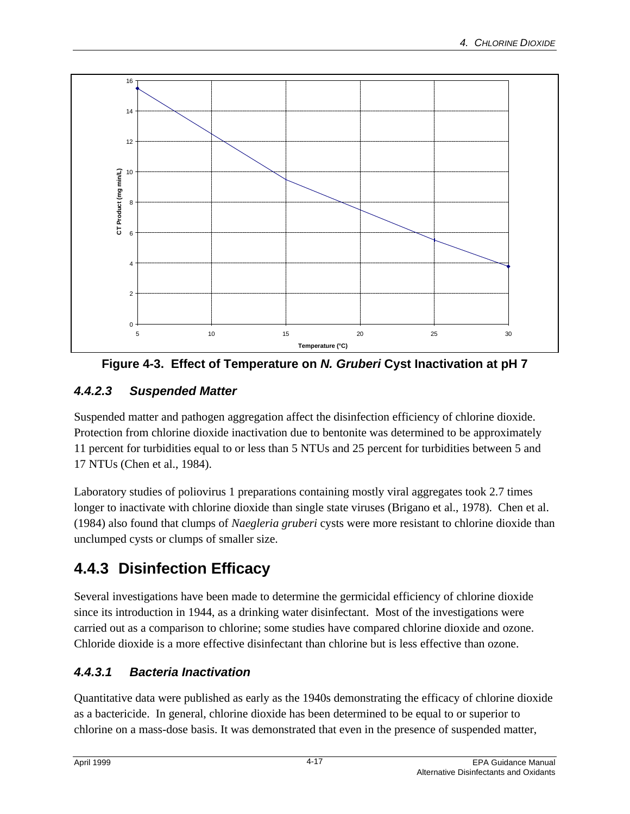

**Figure 4-3. Effect of Temperature on** *N. Gruberi* **Cyst Inactivation at pH 7**

#### *4.4.2.3 Suspended Matter*

Suspended matter and pathogen aggregation affect the disinfection efficiency of chlorine dioxide. Protection from chlorine dioxide inactivation due to bentonite was determined to be approximately 11 percent for turbidities equal to or less than 5 NTUs and 25 percent for turbidities between 5 and 17 NTUs (Chen et al., 1984).

Laboratory studies of poliovirus 1 preparations containing mostly viral aggregates took 2.7 times longer to inactivate with chlorine dioxide than single state viruses (Brigano et al., 1978). Chen et al. (1984) also found that clumps of *Naegleria gruberi* cysts were more resistant to chlorine dioxide than unclumped cysts or clumps of smaller size.

# **4.4.3 Disinfection Efficacy**

Several investigations have been made to determine the germicidal efficiency of chlorine dioxide since its introduction in 1944, as a drinking water disinfectant. Most of the investigations were carried out as a comparison to chlorine; some studies have compared chlorine dioxide and ozone. Chloride dioxide is a more effective disinfectant than chlorine but is less effective than ozone.

### *4.4.3.1 Bacteria Inactivation*

Quantitative data were published as early as the 1940s demonstrating the efficacy of chlorine dioxide as a bactericide. In general, chlorine dioxide has been determined to be equal to or superior to chlorine on a mass-dose basis. It was demonstrated that even in the presence of suspended matter,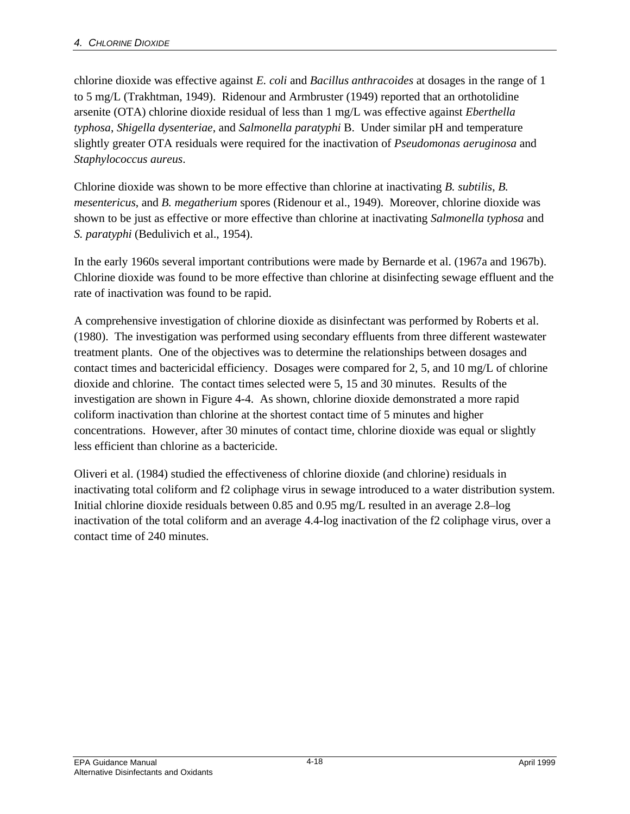chlorine dioxide was effective against *E. coli* and *Bacillus anthracoides* at dosages in the range of 1 to 5 mg/L (Trakhtman, 1949). Ridenour and Armbruster (1949) reported that an orthotolidine arsenite (OTA) chlorine dioxide residual of less than 1 mg/L was effective against *Eberthella typhosa*, *Shigella dysenteriae*, and *Salmonella paratyphi* B. Under similar pH and temperature slightly greater OTA residuals were required for the inactivation of *Pseudomonas aeruginosa* and *Staphylococcus aureus*.

Chlorine dioxide was shown to be more effective than chlorine at inactivating *B. subtilis*, *B. mesentericus*, and *B. megatherium* spores (Ridenour et al., 1949). Moreover, chlorine dioxide was shown to be just as effective or more effective than chlorine at inactivating *Salmonella typhosa* and *S. paratyphi* (Bedulivich et al., 1954).

In the early 1960s several important contributions were made by Bernarde et al. (1967a and 1967b). Chlorine dioxide was found to be more effective than chlorine at disinfecting sewage effluent and the rate of inactivation was found to be rapid.

A comprehensive investigation of chlorine dioxide as disinfectant was performed by Roberts et al. (1980). The investigation was performed using secondary effluents from three different wastewater treatment plants. One of the objectives was to determine the relationships between dosages and contact times and bactericidal efficiency. Dosages were compared for 2, 5, and 10 mg/L of chlorine dioxide and chlorine. The contact times selected were 5, 15 and 30 minutes. Results of the investigation are shown in Figure 4-4. As shown, chlorine dioxide demonstrated a more rapid coliform inactivation than chlorine at the shortest contact time of 5 minutes and higher concentrations. However, after 30 minutes of contact time, chlorine dioxide was equal or slightly less efficient than chlorine as a bactericide.

Oliveri et al. (1984) studied the effectiveness of chlorine dioxide (and chlorine) residuals in inactivating total coliform and f2 coliphage virus in sewage introduced to a water distribution system. Initial chlorine dioxide residuals between 0.85 and 0.95 mg/L resulted in an average 2.8–log inactivation of the total coliform and an average 4.4-log inactivation of the f2 coliphage virus, over a contact time of 240 minutes.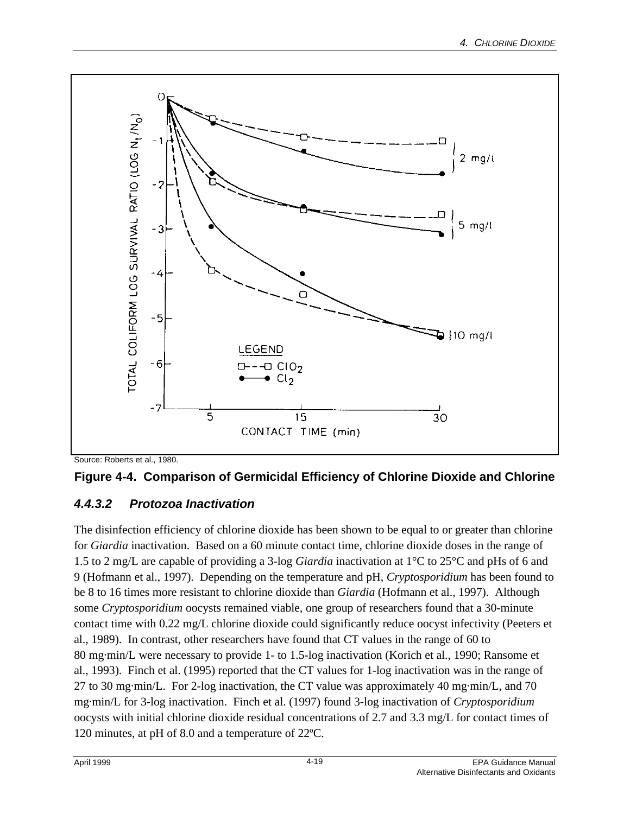

Source: Roberts et al., 1980.



#### *4.4.3.2 Protozoa Inactivation*

The disinfection efficiency of chlorine dioxide has been shown to be equal to or greater than chlorine for *Giardia* inactivation. Based on a 60 minute contact time, chlorine dioxide doses in the range of 1.5 to 2 mg/L are capable of providing a 3-log *Giardia* inactivation at 1°C to 25°C and pHs of 6 and 9 (Hofmann et al., 1997). Depending on the temperature and pH, *Cryptosporidium* has been found to be 8 to 16 times more resistant to chlorine dioxide than *Giardia* (Hofmann et al., 1997). Although some *Cryptosporidium* oocysts remained viable, one group of researchers found that a 30-minute contact time with 0.22 mg/L chlorine dioxide could significantly reduce oocyst infectivity (Peeters et al., 1989). In contrast, other researchers have found that CT values in the range of 60 to 80 mg·min/L were necessary to provide 1- to 1.5-log inactivation (Korich et al., 1990; Ransome et al., 1993). Finch et al. (1995) reported that the CT values for 1-log inactivation was in the range of 27 to 30 mg·min/L. For 2-log inactivation, the CT value was approximately 40 mg·min/L, and 70 mg·min/L for 3-log inactivation. Finch et al. (1997) found 3-log inactivation of *Cryptosporidium* oocysts with initial chlorine dioxide residual concentrations of 2.7 and 3.3 mg/L for contact times of 120 minutes, at pH of 8.0 and a temperature of 22ºC.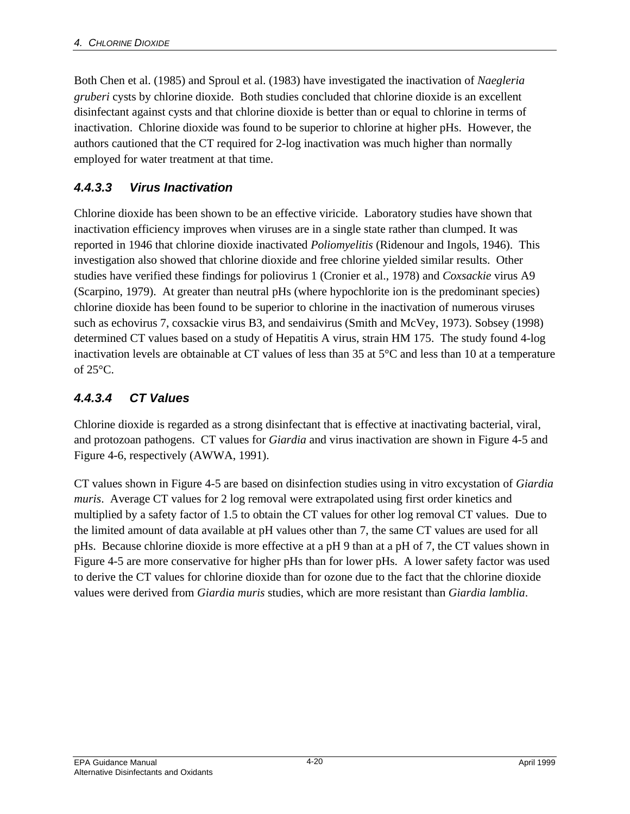Both Chen et al. (1985) and Sproul et al. (1983) have investigated the inactivation of *Naegleria gruberi* cysts by chlorine dioxide. Both studies concluded that chlorine dioxide is an excellent disinfectant against cysts and that chlorine dioxide is better than or equal to chlorine in terms of inactivation. Chlorine dioxide was found to be superior to chlorine at higher pHs. However, the authors cautioned that the CT required for 2-log inactivation was much higher than normally employed for water treatment at that time.

#### *4.4.3.3 Virus Inactivation*

Chlorine dioxide has been shown to be an effective viricide. Laboratory studies have shown that inactivation efficiency improves when viruses are in a single state rather than clumped. It was reported in 1946 that chlorine dioxide inactivated *Poliomyelitis* (Ridenour and Ingols, 1946). This investigation also showed that chlorine dioxide and free chlorine yielded similar results. Other studies have verified these findings for poliovirus 1 (Cronier et al., 1978) and *Coxsackie* virus A9 (Scarpino, 1979). At greater than neutral pHs (where hypochlorite ion is the predominant species) chlorine dioxide has been found to be superior to chlorine in the inactivation of numerous viruses such as echovirus 7, coxsackie virus B3, and sendaivirus (Smith and McVey, 1973). Sobsey (1998) determined CT values based on a study of Hepatitis A virus, strain HM 175. The study found 4-log inactivation levels are obtainable at CT values of less than 35 at 5°C and less than 10 at a temperature of 25°C.

#### *4.4.3.4 CT Values*

Chlorine dioxide is regarded as a strong disinfectant that is effective at inactivating bacterial, viral, and protozoan pathogens. CT values for *Giardia* and virus inactivation are shown in Figure 4-5 and Figure 4-6, respectively (AWWA, 1991).

CT values shown in Figure 4-5 are based on disinfection studies using in vitro excystation of *Giardia muris*. Average CT values for 2 log removal were extrapolated using first order kinetics and multiplied by a safety factor of 1.5 to obtain the CT values for other log removal CT values. Due to the limited amount of data available at pH values other than 7, the same CT values are used for all pHs. Because chlorine dioxide is more effective at a pH 9 than at a pH of 7, the CT values shown in Figure 4-5 are more conservative for higher pHs than for lower pHs. A lower safety factor was used to derive the CT values for chlorine dioxide than for ozone due to the fact that the chlorine dioxide values were derived from *Giardia muris* studies, which are more resistant than *Giardia lamblia*.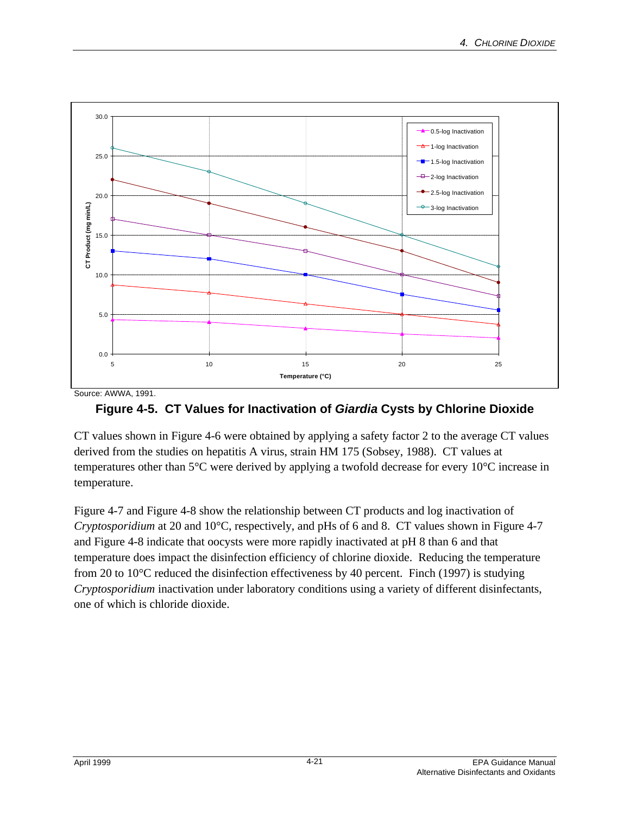

**Figure 4-5. CT Values for Inactivation of** *Giardia* **Cysts by Chlorine Dioxide**

CT values shown in Figure 4-6 were obtained by applying a safety factor 2 to the average CT values derived from the studies on hepatitis A virus, strain HM 175 (Sobsey, 1988). CT values at temperatures other than 5°C were derived by applying a twofold decrease for every 10°C increase in temperature.

Figure 4-7 and Figure 4-8 show the relationship between CT products and log inactivation of *Cryptosporidium* at 20 and 10°C, respectively, and pHs of 6 and 8. CT values shown in Figure 4-7 and Figure 4-8 indicate that oocysts were more rapidly inactivated at pH 8 than 6 and that temperature does impact the disinfection efficiency of chlorine dioxide. Reducing the temperature from 20 to 10°C reduced the disinfection effectiveness by 40 percent. Finch (1997) is studying *Cryptosporidium* inactivation under laboratory conditions using a variety of different disinfectants, one of which is chloride dioxide.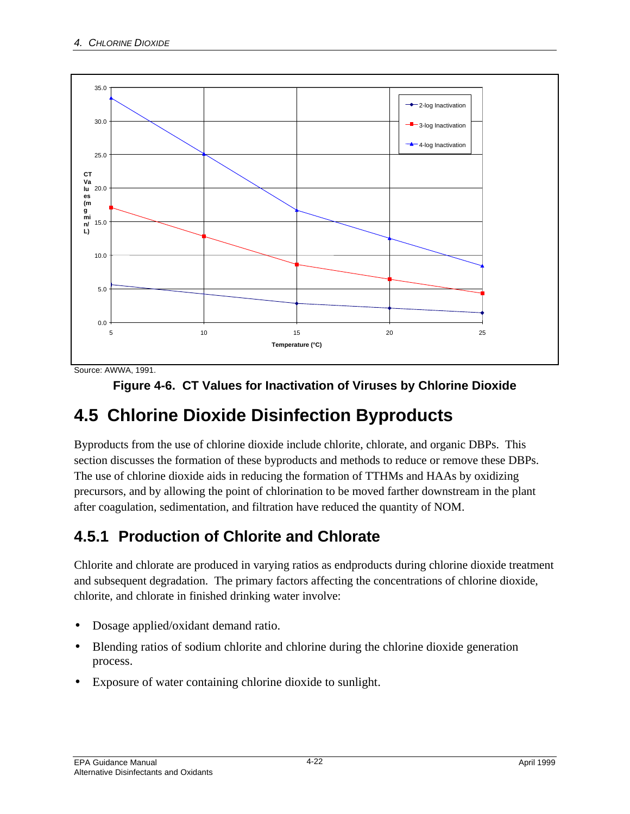

Source: AWWA, 1991.



# **4.5 Chlorine Dioxide Disinfection Byproducts**

Byproducts from the use of chlorine dioxide include chlorite, chlorate, and organic DBPs. This section discusses the formation of these byproducts and methods to reduce or remove these DBPs. The use of chlorine dioxide aids in reducing the formation of TTHMs and HAAs by oxidizing precursors, and by allowing the point of chlorination to be moved farther downstream in the plant after coagulation, sedimentation, and filtration have reduced the quantity of NOM.

### **4.5.1 Production of Chlorite and Chlorate**

Chlorite and chlorate are produced in varying ratios as endproducts during chlorine dioxide treatment and subsequent degradation. The primary factors affecting the concentrations of chlorine dioxide, chlorite, and chlorate in finished drinking water involve:

- Dosage applied/oxidant demand ratio.
- Blending ratios of sodium chlorite and chlorine during the chlorine dioxide generation process.
- Exposure of water containing chlorine dioxide to sunlight.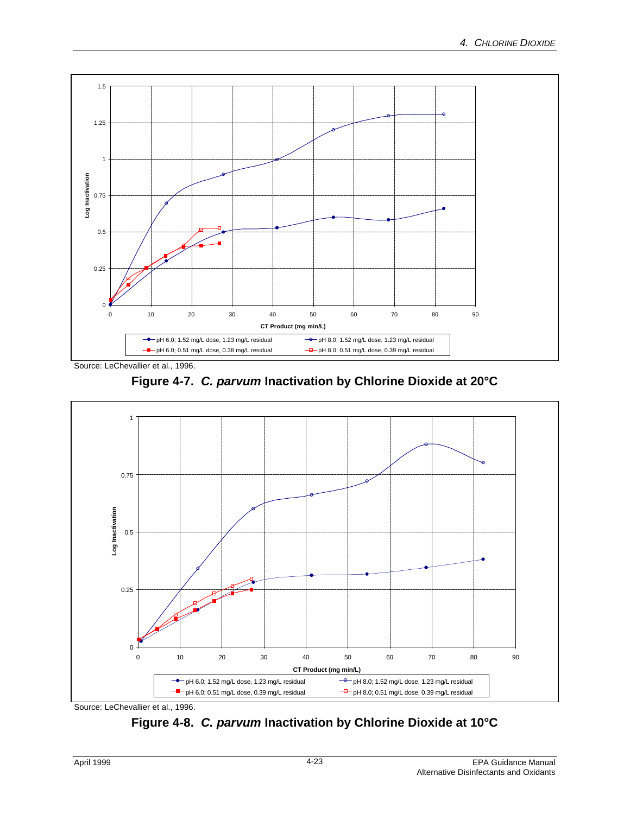

Source: LeChevallier et al., 1996.





**Figure 4-8.** *C. parvum* **Inactivation by Chlorine Dioxide at 10°C**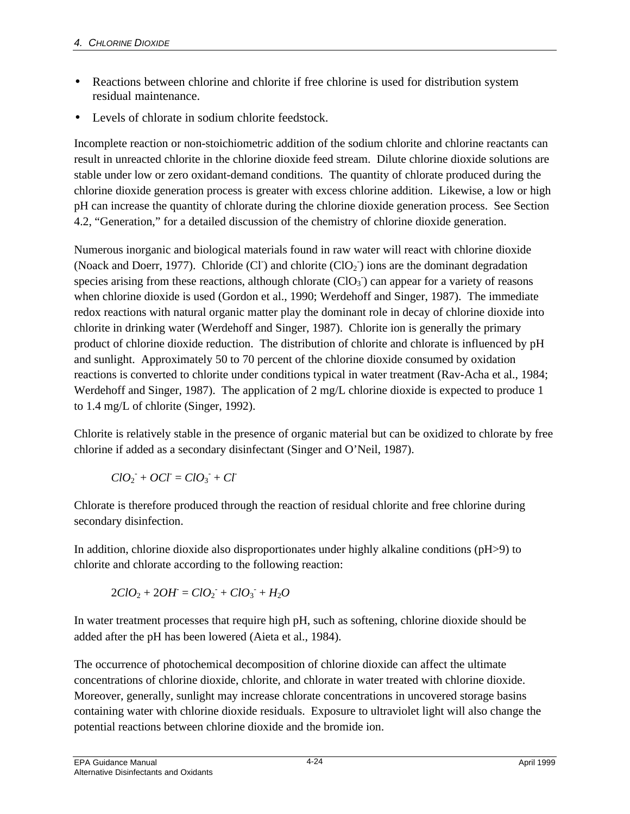- Reactions between chlorine and chlorite if free chlorine is used for distribution system residual maintenance.
- Levels of chlorate in sodium chlorite feedstock.

Incomplete reaction or non-stoichiometric addition of the sodium chlorite and chlorine reactants can result in unreacted chlorite in the chlorine dioxide feed stream. Dilute chlorine dioxide solutions are stable under low or zero oxidant-demand conditions. The quantity of chlorate produced during the chlorine dioxide generation process is greater with excess chlorine addition. Likewise, a low or high pH can increase the quantity of chlorate during the chlorine dioxide generation process. See Section 4.2, "Generation," for a detailed discussion of the chemistry of chlorine dioxide generation.

Numerous inorganic and biological materials found in raw water will react with chlorine dioxide (Noack and Doerr, 1977). Chloride (Cl ) and chlorite  $(CIO<sub>2</sub>)$  ions are the dominant degradation species arising from these reactions, although chlorate  $(CIO<sub>3</sub>)$  can appear for a variety of reasons when chlorine dioxide is used (Gordon et al., 1990; Werdehoff and Singer, 1987). The immediate redox reactions with natural organic matter play the dominant role in decay of chlorine dioxide into chlorite in drinking water (Werdehoff and Singer, 1987). Chlorite ion is generally the primary product of chlorine dioxide reduction. The distribution of chlorite and chlorate is influenced by pH and sunlight. Approximately 50 to 70 percent of the chlorine dioxide consumed by oxidation reactions is converted to chlorite under conditions typical in water treatment (Rav-Acha et al., 1984; Werdehoff and Singer, 1987). The application of 2 mg/L chlorine dioxide is expected to produce 1 to 1.4 mg/L of chlorite (Singer, 1992).

Chlorite is relatively stable in the presence of organic material but can be oxidized to chlorate by free chlorine if added as a secondary disinfectant (Singer and O'Neil, 1987).

$$
ClO_2^- + OCl = ClO_3^- + Cl
$$

Chlorate is therefore produced through the reaction of residual chlorite and free chlorine during secondary disinfection.

In addition, chlorine dioxide also disproportionates under highly alkaline conditions (pH>9) to chlorite and chlorate according to the following reaction:

$$
2ClO2 + 2OH = ClO2 + ClO3 + H2O
$$

In water treatment processes that require high pH, such as softening, chlorine dioxide should be added after the pH has been lowered (Aieta et al., 1984).

The occurrence of photochemical decomposition of chlorine dioxide can affect the ultimate concentrations of chlorine dioxide, chlorite, and chlorate in water treated with chlorine dioxide. Moreover, generally, sunlight may increase chlorate concentrations in uncovered storage basins containing water with chlorine dioxide residuals. Exposure to ultraviolet light will also change the potential reactions between chlorine dioxide and the bromide ion.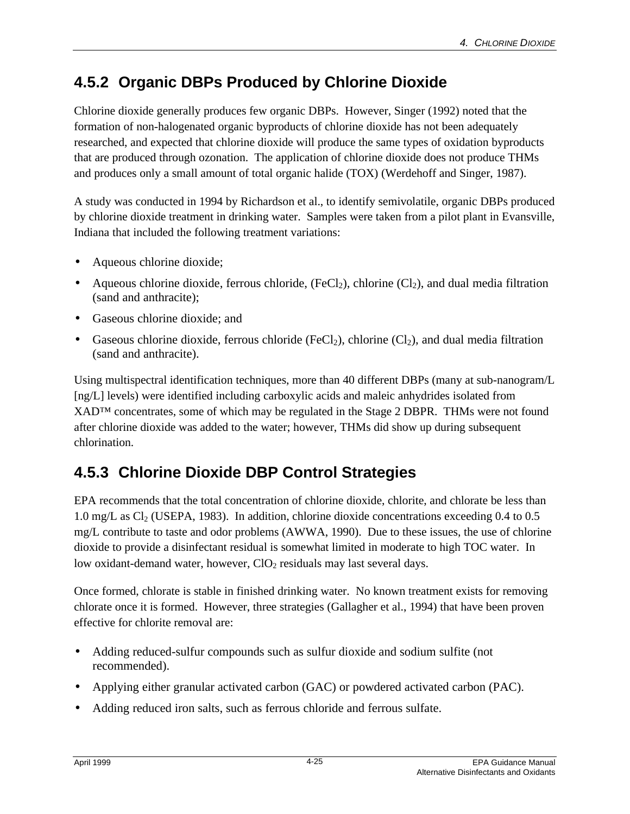### **4.5.2 Organic DBPs Produced by Chlorine Dioxide**

Chlorine dioxide generally produces few organic DBPs. However, Singer (1992) noted that the formation of non-halogenated organic byproducts of chlorine dioxide has not been adequately researched, and expected that chlorine dioxide will produce the same types of oxidation byproducts that are produced through ozonation. The application of chlorine dioxide does not produce THMs and produces only a small amount of total organic halide (TOX) (Werdehoff and Singer, 1987).

A study was conducted in 1994 by Richardson et al., to identify semivolatile, organic DBPs produced by chlorine dioxide treatment in drinking water. Samples were taken from a pilot plant in Evansville, Indiana that included the following treatment variations:

- Aqueous chlorine dioxide;
- Aqueous chlorine dioxide, ferrous chloride,  $(FeCl<sub>2</sub>)$ , chlorine  $(Cl<sub>2</sub>)$ , and dual media filtration (sand and anthracite);
- Gaseous chlorine dioxide; and
- Gaseous chlorine dioxide, ferrous chloride (FeCl<sub>2</sub>), chlorine  $(C_1)$ , and dual media filtration (sand and anthracite).

Using multispectral identification techniques, more than 40 different DBPs (many at sub-nanogram/L [ng/L] levels) were identified including carboxylic acids and maleic anhydrides isolated from XAD™ concentrates, some of which may be regulated in the Stage 2 DBPR. THMs were not found after chlorine dioxide was added to the water; however, THMs did show up during subsequent chlorination.

### **4.5.3 Chlorine Dioxide DBP Control Strategies**

EPA recommends that the total concentration of chlorine dioxide, chlorite, and chlorate be less than 1.0 mg/L as Cl2 (USEPA, 1983). In addition, chlorine dioxide concentrations exceeding 0.4 to 0.5 mg/L contribute to taste and odor problems (AWWA, 1990). Due to these issues, the use of chlorine dioxide to provide a disinfectant residual is somewhat limited in moderate to high TOC water. In low oxidant-demand water, however,  $ClO<sub>2</sub>$  residuals may last several days.

Once formed, chlorate is stable in finished drinking water. No known treatment exists for removing chlorate once it is formed. However, three strategies (Gallagher et al., 1994) that have been proven effective for chlorite removal are:

- Adding reduced-sulfur compounds such as sulfur dioxide and sodium sulfite (not recommended).
- Applying either granular activated carbon (GAC) or powdered activated carbon (PAC).
- Adding reduced iron salts, such as ferrous chloride and ferrous sulfate.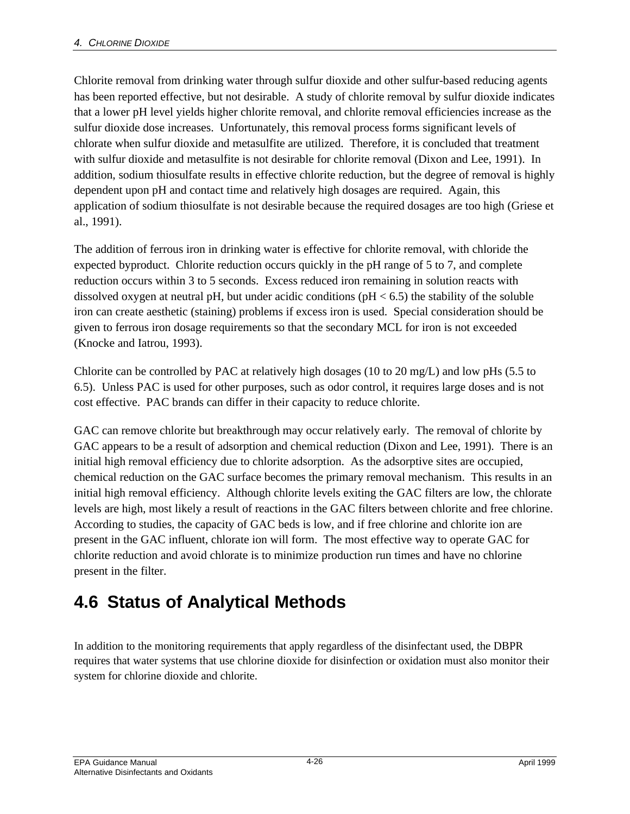Chlorite removal from drinking water through sulfur dioxide and other sulfur-based reducing agents has been reported effective, but not desirable. A study of chlorite removal by sulfur dioxide indicates that a lower pH level yields higher chlorite removal, and chlorite removal efficiencies increase as the sulfur dioxide dose increases. Unfortunately, this removal process forms significant levels of chlorate when sulfur dioxide and metasulfite are utilized. Therefore, it is concluded that treatment with sulfur dioxide and metasulfite is not desirable for chlorite removal (Dixon and Lee, 1991). In addition, sodium thiosulfate results in effective chlorite reduction, but the degree of removal is highly dependent upon pH and contact time and relatively high dosages are required. Again, this application of sodium thiosulfate is not desirable because the required dosages are too high (Griese et al., 1991).

The addition of ferrous iron in drinking water is effective for chlorite removal, with chloride the expected byproduct. Chlorite reduction occurs quickly in the pH range of 5 to 7, and complete reduction occurs within 3 to 5 seconds. Excess reduced iron remaining in solution reacts with dissolved oxygen at neutral pH, but under acidic conditions ( $pH < 6.5$ ) the stability of the soluble iron can create aesthetic (staining) problems if excess iron is used. Special consideration should be given to ferrous iron dosage requirements so that the secondary MCL for iron is not exceeded (Knocke and Iatrou, 1993).

Chlorite can be controlled by PAC at relatively high dosages (10 to 20 mg/L) and low pHs (5.5 to 6.5). Unless PAC is used for other purposes, such as odor control, it requires large doses and is not cost effective. PAC brands can differ in their capacity to reduce chlorite.

GAC can remove chlorite but breakthrough may occur relatively early. The removal of chlorite by GAC appears to be a result of adsorption and chemical reduction (Dixon and Lee, 1991). There is an initial high removal efficiency due to chlorite adsorption. As the adsorptive sites are occupied, chemical reduction on the GAC surface becomes the primary removal mechanism. This results in an initial high removal efficiency. Although chlorite levels exiting the GAC filters are low, the chlorate levels are high, most likely a result of reactions in the GAC filters between chlorite and free chlorine. According to studies, the capacity of GAC beds is low, and if free chlorine and chlorite ion are present in the GAC influent, chlorate ion will form. The most effective way to operate GAC for chlorite reduction and avoid chlorate is to minimize production run times and have no chlorine present in the filter.

# **4.6 Status of Analytical Methods**

In addition to the monitoring requirements that apply regardless of the disinfectant used, the DBPR requires that water systems that use chlorine dioxide for disinfection or oxidation must also monitor their system for chlorine dioxide and chlorite.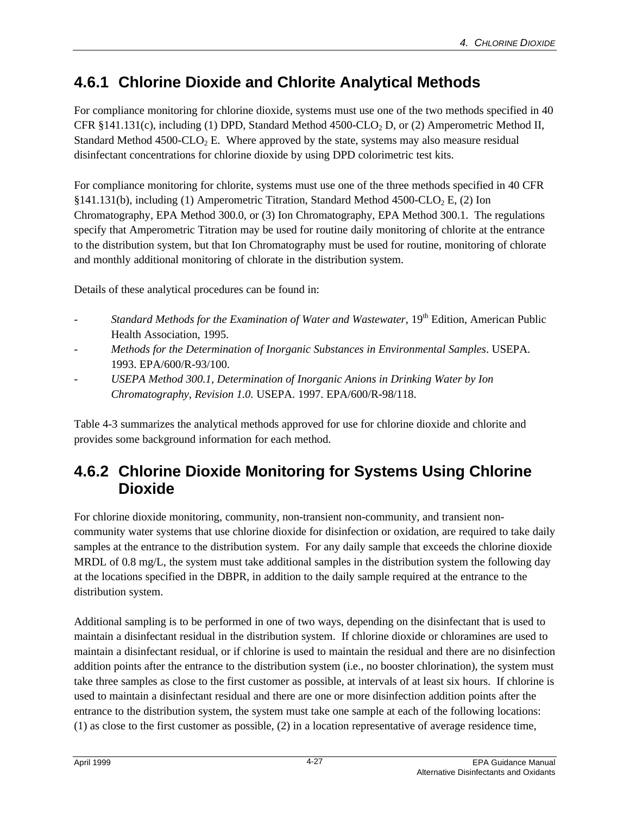# **4.6.1 Chlorine Dioxide and Chlorite Analytical Methods**

For compliance monitoring for chlorine dioxide, systems must use one of the two methods specified in 40 CFR §141.131(c), including (1) DPD, Standard Method 4500-CLO<sub>2</sub> D, or (2) Amperometric Method II, Standard Method 4500-CLO<sub>2</sub> E. Where approved by the state, systems may also measure residual disinfectant concentrations for chlorine dioxide by using DPD colorimetric test kits.

For compliance monitoring for chlorite, systems must use one of the three methods specified in 40 CFR §141.131(b), including (1) Amperometric Titration, Standard Method 4500-CLO<sub>2</sub> E, (2) Ion Chromatography, EPA Method 300.0, or (3) Ion Chromatography, EPA Method 300.1. The regulations specify that Amperometric Titration may be used for routine daily monitoring of chlorite at the entrance to the distribution system, but that Ion Chromatography must be used for routine, monitoring of chlorate and monthly additional monitoring of chlorate in the distribution system.

Details of these analytical procedures can be found in:

- *Standard Methods for the Examination of Water and Wastewater*, 19<sup>th</sup> Edition, American Public Health Association, 1995.
- *- Methods for the Determination of Inorganic Substances in Environmental Samples*. USEPA. 1993. EPA/600/R-93/100.
- *- USEPA Method 300.1, Determination of Inorganic Anions in Drinking Water by Ion Chromatography, Revision 1.0.* USEPA. 1997. EPA/600/R-98/118.

Table 4-3 summarizes the analytical methods approved for use for chlorine dioxide and chlorite and provides some background information for each method.

### **4.6.2 Chlorine Dioxide Monitoring for Systems Using Chlorine Dioxide**

For chlorine dioxide monitoring, community, non-transient non-community, and transient noncommunity water systems that use chlorine dioxide for disinfection or oxidation, are required to take daily samples at the entrance to the distribution system. For any daily sample that exceeds the chlorine dioxide MRDL of 0.8 mg/L, the system must take additional samples in the distribution system the following day at the locations specified in the DBPR, in addition to the daily sample required at the entrance to the distribution system.

Additional sampling is to be performed in one of two ways, depending on the disinfectant that is used to maintain a disinfectant residual in the distribution system. If chlorine dioxide or chloramines are used to maintain a disinfectant residual, or if chlorine is used to maintain the residual and there are no disinfection addition points after the entrance to the distribution system (i.e., no booster chlorination), the system must take three samples as close to the first customer as possible, at intervals of at least six hours. If chlorine is used to maintain a disinfectant residual and there are one or more disinfection addition points after the entrance to the distribution system, the system must take one sample at each of the following locations: (1) as close to the first customer as possible, (2) in a location representative of average residence time,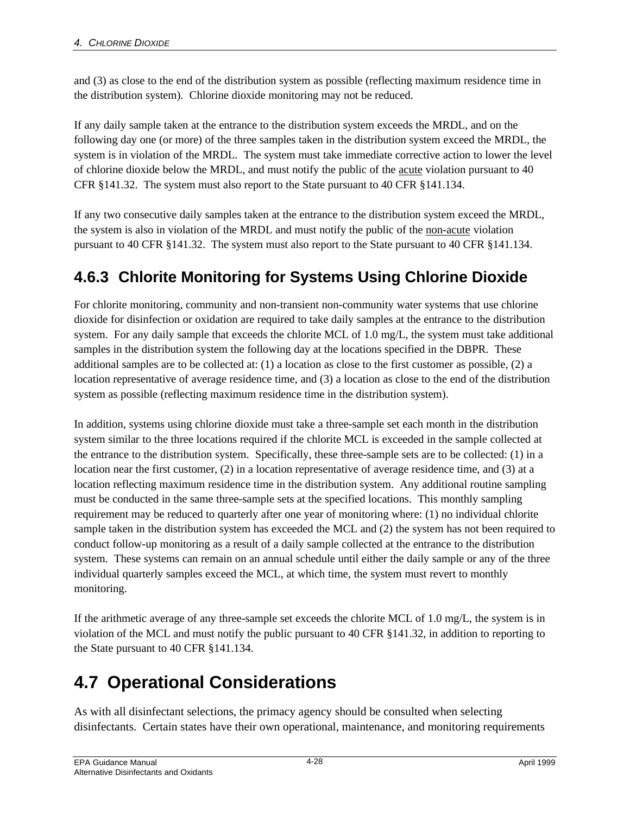and (3) as close to the end of the distribution system as possible (reflecting maximum residence time in the distribution system). Chlorine dioxide monitoring may not be reduced.

If any daily sample taken at the entrance to the distribution system exceeds the MRDL, and on the following day one (or more) of the three samples taken in the distribution system exceed the MRDL, the system is in violation of the MRDL. The system must take immediate corrective action to lower the level of chlorine dioxide below the MRDL, and must notify the public of the acute violation pursuant to 40 CFR §141.32. The system must also report to the State pursuant to 40 CFR §141.134.

If any two consecutive daily samples taken at the entrance to the distribution system exceed the MRDL, the system is also in violation of the MRDL and must notify the public of the non-acute violation pursuant to 40 CFR §141.32. The system must also report to the State pursuant to 40 CFR §141.134.

### **4.6.3 Chlorite Monitoring for Systems Using Chlorine Dioxide**

For chlorite monitoring, community and non-transient non-community water systems that use chlorine dioxide for disinfection or oxidation are required to take daily samples at the entrance to the distribution system. For any daily sample that exceeds the chlorite MCL of 1.0 mg/L, the system must take additional samples in the distribution system the following day at the locations specified in the DBPR. These additional samples are to be collected at: (1) a location as close to the first customer as possible, (2) a location representative of average residence time, and (3) a location as close to the end of the distribution system as possible (reflecting maximum residence time in the distribution system).

In addition, systems using chlorine dioxide must take a three-sample set each month in the distribution system similar to the three locations required if the chlorite MCL is exceeded in the sample collected at the entrance to the distribution system. Specifically, these three-sample sets are to be collected: (1) in a location near the first customer, (2) in a location representative of average residence time, and (3) at a location reflecting maximum residence time in the distribution system. Any additional routine sampling must be conducted in the same three-sample sets at the specified locations. This monthly sampling requirement may be reduced to quarterly after one year of monitoring where: (1) no individual chlorite sample taken in the distribution system has exceeded the MCL and (2) the system has not been required to conduct follow-up monitoring as a result of a daily sample collected at the entrance to the distribution system. These systems can remain on an annual schedule until either the daily sample or any of the three individual quarterly samples exceed the MCL, at which time, the system must revert to monthly monitoring.

If the arithmetic average of any three-sample set exceeds the chlorite MCL of 1.0 mg/L, the system is in violation of the MCL and must notify the public pursuant to 40 CFR §141.32, in addition to reporting to the State pursuant to 40 CFR §141.134.

# **4.7 Operational Considerations**

As with all disinfectant selections, the primacy agency should be consulted when selecting disinfectants. Certain states have their own operational, maintenance, and monitoring requirements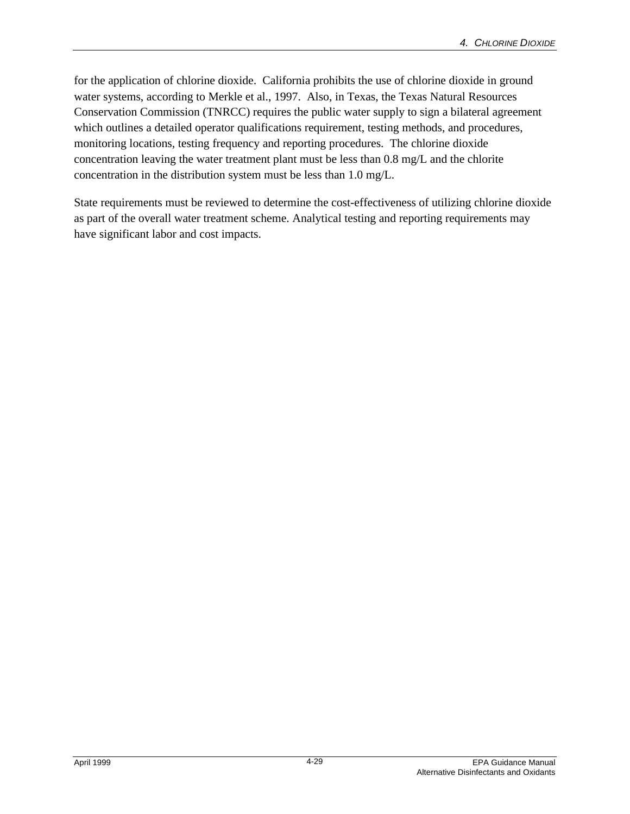for the application of chlorine dioxide. California prohibits the use of chlorine dioxide in ground water systems, according to Merkle et al., 1997. Also, in Texas, the Texas Natural Resources Conservation Commission (TNRCC) requires the public water supply to sign a bilateral agreement which outlines a detailed operator qualifications requirement, testing methods, and procedures, monitoring locations, testing frequency and reporting procedures. The chlorine dioxide concentration leaving the water treatment plant must be less than 0.8 mg/L and the chlorite concentration in the distribution system must be less than 1.0 mg/L.

State requirements must be reviewed to determine the cost-effectiveness of utilizing chlorine dioxide as part of the overall water treatment scheme. Analytical testing and reporting requirements may have significant labor and cost impacts.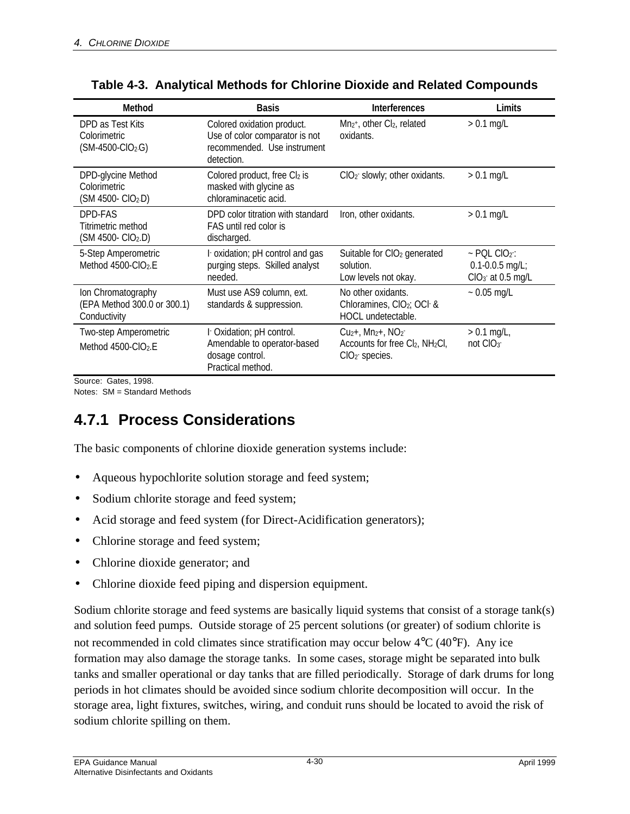| Method                                                               | <b>Basis</b>                                                                                              | <b>Interferences</b>                                                                                                           | Limits                                                                     |
|----------------------------------------------------------------------|-----------------------------------------------------------------------------------------------------------|--------------------------------------------------------------------------------------------------------------------------------|----------------------------------------------------------------------------|
| DPD as Test Kits<br>Colorimetric<br>$(SM-4500-CIO2. G)$              | Colored oxidation product.<br>Use of color comparator is not<br>recommended. Use instrument<br>detection. | Mn <sub>2+</sub> , other Cl <sub>2</sub> , related<br>oxidants.                                                                | $> 0.1$ mg/L                                                               |
| DPD-glycine Method<br>Colorimetric<br>(SM 4500- CIO <sub>2</sub> .D) | Colored product, free Cl2 is<br>masked with glycine as<br>chloraminacetic acid.                           | $ClO2$ slowly; other oxidants.                                                                                                 | $> 0.1$ mg/L                                                               |
| DPD-FAS<br>Titrimetric method<br>(SM 4500- CIO <sub>2</sub> .D)      | DPD color titration with standard<br>FAS until red color is<br>discharged.                                | Iron, other oxidants.                                                                                                          | $> 0.1$ mg/L                                                               |
| 5-Step Amperometric<br>Method 4500-CIO <sub>2</sub> .E               | I oxidation; pH control and gas<br>purging steps. Skilled analyst<br>needed.                              | Suitable for CIO <sub>2</sub> generated<br>solution.<br>Low levels not okay.                                                   | $\sim$ PQL CIO <sub>2</sub> :<br>$0.1 - 0.0.5$ mg/L;<br>$ClO3$ at 0.5 mg/L |
| Ion Chromatography<br>(EPA Method 300.0 or 300.1)<br>Conductivity    | Must use AS9 column, ext.<br>standards & suppression.                                                     | No other oxidants.<br>Chloramines, CIO <sub>2</sub> ; OCI &<br>HOCL undetectable.                                              | $\sim 0.05$ mg/L                                                           |
| Two-step Amperometric<br>Method 4500-CIO <sub>2</sub> .E             | I-Oxidation; pH control.<br>Amendable to operator-based<br>dosage control.<br>Practical method.           | $Cu_{2+}$ , Mn <sub>2+</sub> , NO <sub>2</sub> -<br>Accounts for free Cl <sub>2</sub> , NH <sub>2</sub> Cl,<br>$ClO2$ species. | $> 0.1$ mg/L,<br>not CIO <sub>3</sub>                                      |

|  |  |  |  |  |  | Table 4-3. Analytical Methods for Chlorine Dioxide and Related Compounds |
|--|--|--|--|--|--|--------------------------------------------------------------------------|
|--|--|--|--|--|--|--------------------------------------------------------------------------|

Source: Gates, 1998.

Notes: SM = Standard Methods

### **4.7.1 Process Considerations**

The basic components of chlorine dioxide generation systems include:

- Aqueous hypochlorite solution storage and feed system;
- Sodium chlorite storage and feed system;
- Acid storage and feed system (for Direct-Acidification generators);
- Chlorine storage and feed system;
- Chlorine dioxide generator; and
- Chlorine dioxide feed piping and dispersion equipment.

Sodium chlorite storage and feed systems are basically liquid systems that consist of a storage tank(s) and solution feed pumps. Outside storage of 25 percent solutions (or greater) of sodium chlorite is not recommended in cold climates since stratification may occur below  $4^{\circ}C(40^{\circ}F)$ . Any ice formation may also damage the storage tanks. In some cases, storage might be separated into bulk tanks and smaller operational or day tanks that are filled periodically. Storage of dark drums for long periods in hot climates should be avoided since sodium chlorite decomposition will occur. In the storage area, light fixtures, switches, wiring, and conduit runs should be located to avoid the risk of sodium chlorite spilling on them.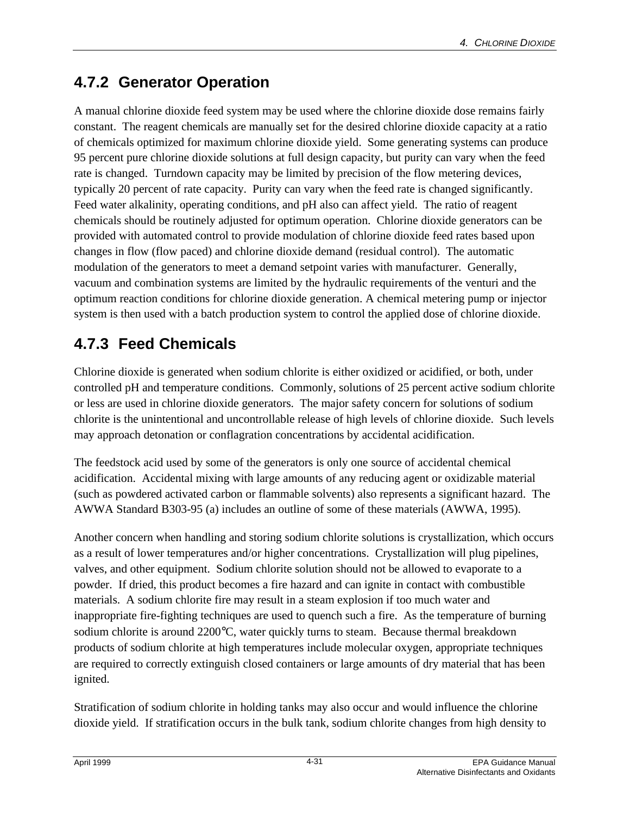### **4.7.2 Generator Operation**

A manual chlorine dioxide feed system may be used where the chlorine dioxide dose remains fairly constant. The reagent chemicals are manually set for the desired chlorine dioxide capacity at a ratio of chemicals optimized for maximum chlorine dioxide yield. Some generating systems can produce 95 percent pure chlorine dioxide solutions at full design capacity, but purity can vary when the feed rate is changed. Turndown capacity may be limited by precision of the flow metering devices, typically 20 percent of rate capacity. Purity can vary when the feed rate is changed significantly. Feed water alkalinity, operating conditions, and pH also can affect yield. The ratio of reagent chemicals should be routinely adjusted for optimum operation. Chlorine dioxide generators can be provided with automated control to provide modulation of chlorine dioxide feed rates based upon changes in flow (flow paced) and chlorine dioxide demand (residual control). The automatic modulation of the generators to meet a demand setpoint varies with manufacturer. Generally, vacuum and combination systems are limited by the hydraulic requirements of the venturi and the optimum reaction conditions for chlorine dioxide generation. A chemical metering pump or injector system is then used with a batch production system to control the applied dose of chlorine dioxide.

# **4.7.3 Feed Chemicals**

Chlorine dioxide is generated when sodium chlorite is either oxidized or acidified, or both, under controlled pH and temperature conditions. Commonly, solutions of 25 percent active sodium chlorite or less are used in chlorine dioxide generators. The major safety concern for solutions of sodium chlorite is the unintentional and uncontrollable release of high levels of chlorine dioxide. Such levels may approach detonation or conflagration concentrations by accidental acidification.

The feedstock acid used by some of the generators is only one source of accidental chemical acidification. Accidental mixing with large amounts of any reducing agent or oxidizable material (such as powdered activated carbon or flammable solvents) also represents a significant hazard. The AWWA Standard B303-95 (a) includes an outline of some of these materials (AWWA, 1995).

Another concern when handling and storing sodium chlorite solutions is crystallization, which occurs as a result of lower temperatures and/or higher concentrations. Crystallization will plug pipelines, valves, and other equipment. Sodium chlorite solution should not be allowed to evaporate to a powder. If dried, this product becomes a fire hazard and can ignite in contact with combustible materials. A sodium chlorite fire may result in a steam explosion if too much water and inappropriate fire-fighting techniques are used to quench such a fire. As the temperature of burning sodium chlorite is around 2200°C, water quickly turns to steam. Because thermal breakdown products of sodium chlorite at high temperatures include molecular oxygen, appropriate techniques are required to correctly extinguish closed containers or large amounts of dry material that has been ignited.

Stratification of sodium chlorite in holding tanks may also occur and would influence the chlorine dioxide yield. If stratification occurs in the bulk tank, sodium chlorite changes from high density to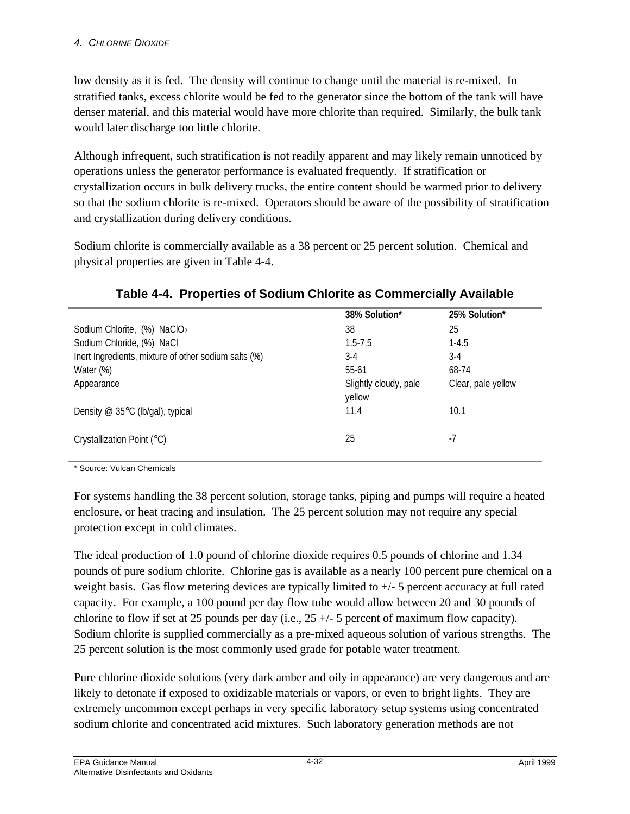low density as it is fed. The density will continue to change until the material is re-mixed. In stratified tanks, excess chlorite would be fed to the generator since the bottom of the tank will have denser material, and this material would have more chlorite than required. Similarly, the bulk tank would later discharge too little chlorite.

Although infrequent, such stratification is not readily apparent and may likely remain unnoticed by operations unless the generator performance is evaluated frequently. If stratification or crystallization occurs in bulk delivery trucks, the entire content should be warmed prior to delivery so that the sodium chlorite is re-mixed. Operators should be aware of the possibility of stratification and crystallization during delivery conditions.

Sodium chlorite is commercially available as a 38 percent or 25 percent solution. Chemical and physical properties are given in Table 4-4.

|                                                      | 38% Solution*                   | 25% Solution*      |
|------------------------------------------------------|---------------------------------|--------------------|
| Sodium Chlorite, (%) NaClO <sub>2</sub>              | 38                              | 25                 |
| Sodium Chloride, (%) NaCl                            | $1.5 - 7.5$                     | $1-4.5$            |
| Inert Ingredients, mixture of other sodium salts (%) | $3-4$                           | $3-4$              |
| Water (%)                                            | 55-61                           | 68-74              |
| Appearance                                           | Slightly cloudy, pale<br>yellow | Clear, pale yellow |
| Density @ 35°C (lb/gal), typical                     | 11.4                            | 10.1               |
| Crystallization Point (°C)                           | 25                              | $-7$               |

**Table 4-4. Properties of Sodium Chlorite as Commercially Available**

\* Source: Vulcan Chemicals

For systems handling the 38 percent solution, storage tanks, piping and pumps will require a heated enclosure, or heat tracing and insulation. The 25 percent solution may not require any special protection except in cold climates.

The ideal production of 1.0 pound of chlorine dioxide requires 0.5 pounds of chlorine and 1.34 pounds of pure sodium chlorite. Chlorine gas is available as a nearly 100 percent pure chemical on a weight basis. Gas flow metering devices are typically limited to +/- 5 percent accuracy at full rated capacity. For example, a 100 pound per day flow tube would allow between 20 and 30 pounds of chlorine to flow if set at 25 pounds per day (i.e.,  $25 +/- 5$  percent of maximum flow capacity). Sodium chlorite is supplied commercially as a pre-mixed aqueous solution of various strengths. The 25 percent solution is the most commonly used grade for potable water treatment.

Pure chlorine dioxide solutions (very dark amber and oily in appearance) are very dangerous and are likely to detonate if exposed to oxidizable materials or vapors, or even to bright lights. They are extremely uncommon except perhaps in very specific laboratory setup systems using concentrated sodium chlorite and concentrated acid mixtures. Such laboratory generation methods are not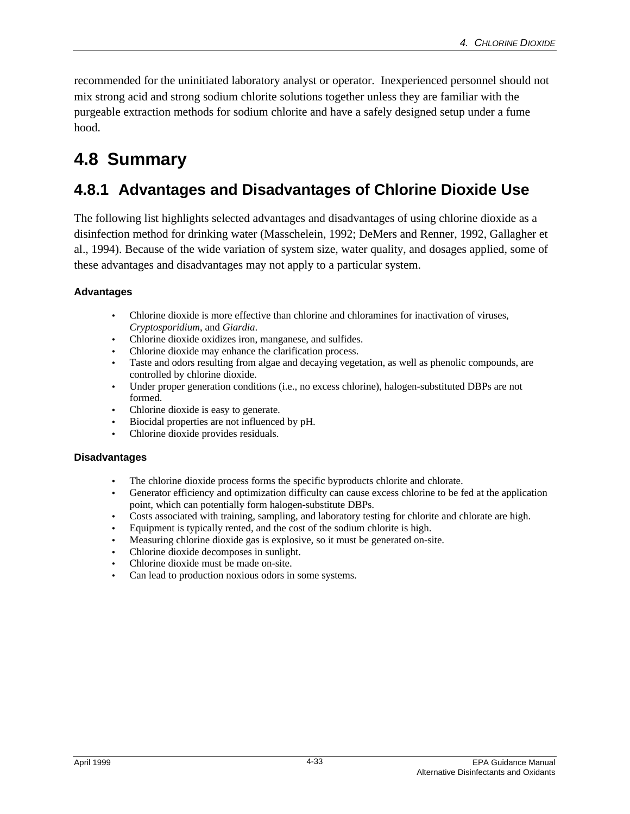recommended for the uninitiated laboratory analyst or operator. Inexperienced personnel should not mix strong acid and strong sodium chlorite solutions together unless they are familiar with the purgeable extraction methods for sodium chlorite and have a safely designed setup under a fume hood.

# **4.8 Summary**

### **4.8.1 Advantages and Disadvantages of Chlorine Dioxide Use**

The following list highlights selected advantages and disadvantages of using chlorine dioxide as a disinfection method for drinking water (Masschelein, 1992; DeMers and Renner, 1992, Gallagher et al., 1994). Because of the wide variation of system size, water quality, and dosages applied, some of these advantages and disadvantages may not apply to a particular system.

#### **Advantages**

- Chlorine dioxide is more effective than chlorine and chloramines for inactivation of viruses, *Cryptosporidium*, and *Giardia*.
- Chlorine dioxide oxidizes iron, manganese, and sulfides.
- Chlorine dioxide may enhance the clarification process.
- Taste and odors resulting from algae and decaying vegetation, as well as phenolic compounds, are controlled by chlorine dioxide.
- Under proper generation conditions (i.e., no excess chlorine), halogen-substituted DBPs are not formed.
- Chlorine dioxide is easy to generate.
- Biocidal properties are not influenced by pH.
- Chlorine dioxide provides residuals.

#### **Disadvantages**

- The chlorine dioxide process forms the specific byproducts chlorite and chlorate.
- Generator efficiency and optimization difficulty can cause excess chlorine to be fed at the application point, which can potentially form halogen-substitute DBPs.
- Costs associated with training, sampling, and laboratory testing for chlorite and chlorate are high.
- Equipment is typically rented, and the cost of the sodium chlorite is high.
- Measuring chlorine dioxide gas is explosive, so it must be generated on-site.
- Chlorine dioxide decomposes in sunlight.
- Chlorine dioxide must be made on-site.
- Can lead to production noxious odors in some systems.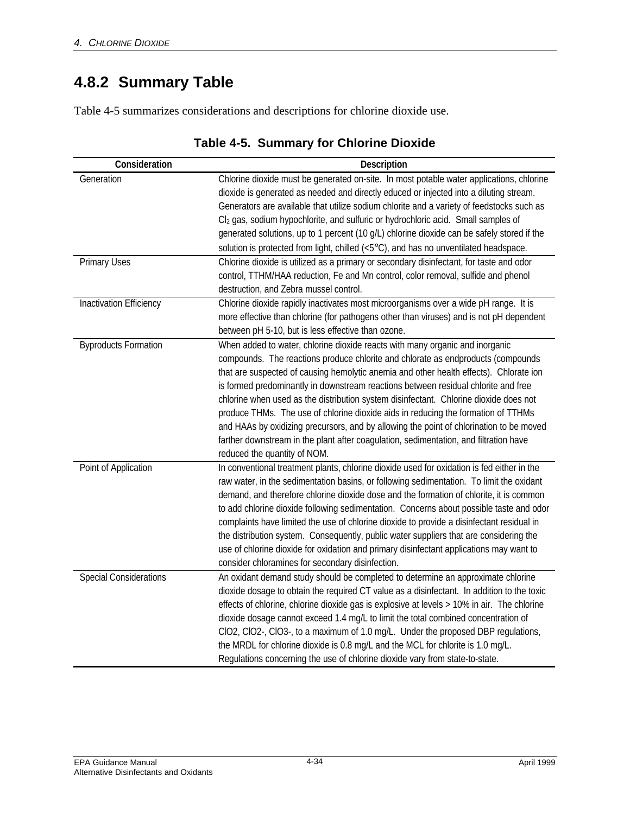### **4.8.2 Summary Table**

Table 4-5 summarizes considerations and descriptions for chlorine dioxide use.

| Consideration                 | Description                                                                                                                                                                        |
|-------------------------------|------------------------------------------------------------------------------------------------------------------------------------------------------------------------------------|
| Generation                    | Chlorine dioxide must be generated on-site. In most potable water applications, chlorine<br>dioxide is generated as needed and directly educed or injected into a diluting stream. |
|                               | Generators are available that utilize sodium chlorite and a variety of feedstocks such as                                                                                          |
|                               | Cl <sub>2</sub> gas, sodium hypochlorite, and sulfuric or hydrochloric acid. Small samples of                                                                                      |
|                               | generated solutions, up to 1 percent (10 g/L) chlorine dioxide can be safely stored if the                                                                                         |
|                               | solution is protected from light, chilled (<5°C), and has no unventilated headspace.                                                                                               |
| <b>Primary Uses</b>           | Chlorine dioxide is utilized as a primary or secondary disinfectant, for taste and odor                                                                                            |
|                               | control, TTHM/HAA reduction, Fe and Mn control, color removal, sulfide and phenol                                                                                                  |
|                               | destruction, and Zebra mussel control.                                                                                                                                             |
| Inactivation Efficiency       | Chlorine dioxide rapidly inactivates most microorganisms over a wide pH range. It is                                                                                               |
|                               | more effective than chlorine (for pathogens other than viruses) and is not pH dependent                                                                                            |
| <b>Byproducts Formation</b>   | between pH 5-10, but is less effective than ozone.<br>When added to water, chlorine dioxide reacts with many organic and inorganic                                                 |
|                               | compounds. The reactions produce chlorite and chlorate as endproducts (compounds                                                                                                   |
|                               | that are suspected of causing hemolytic anemia and other health effects). Chlorate ion                                                                                             |
|                               | is formed predominantly in downstream reactions between residual chlorite and free                                                                                                 |
|                               | chlorine when used as the distribution system disinfectant. Chlorine dioxide does not                                                                                              |
|                               | produce THMs. The use of chlorine dioxide aids in reducing the formation of TTHMs                                                                                                  |
|                               | and HAAs by oxidizing precursors, and by allowing the point of chlorination to be moved                                                                                            |
|                               | farther downstream in the plant after coagulation, sedimentation, and filtration have                                                                                              |
|                               | reduced the quantity of NOM.                                                                                                                                                       |
| Point of Application          | In conventional treatment plants, chlorine dioxide used for oxidation is fed either in the                                                                                         |
|                               | raw water, in the sedimentation basins, or following sedimentation. To limit the oxidant                                                                                           |
|                               | demand, and therefore chlorine dioxide dose and the formation of chlorite, it is common                                                                                            |
|                               | to add chlorine dioxide following sedimentation. Concerns about possible taste and odor                                                                                            |
|                               | complaints have limited the use of chlorine dioxide to provide a disinfectant residual in                                                                                          |
|                               | the distribution system. Consequently, public water suppliers that are considering the                                                                                             |
|                               | use of chlorine dioxide for oxidation and primary disinfectant applications may want to                                                                                            |
| <b>Special Considerations</b> | consider chloramines for secondary disinfection.                                                                                                                                   |
|                               | An oxidant demand study should be completed to determine an approximate chlorine<br>dioxide dosage to obtain the required CT value as a disinfectant. In addition to the toxic     |
|                               | effects of chlorine, chlorine dioxide gas is explosive at levels > 10% in air. The chlorine                                                                                        |
|                               | dioxide dosage cannot exceed 1.4 mg/L to limit the total combined concentration of                                                                                                 |
|                               | CIO2, CIO2-, CIO3-, to a maximum of 1.0 mg/L. Under the proposed DBP regulations,                                                                                                  |
|                               | the MRDL for chlorine dioxide is 0.8 mg/L and the MCL for chlorite is 1.0 mg/L.                                                                                                    |
|                               | Regulations concerning the use of chlorine dioxide vary from state-to-state.                                                                                                       |

|  | <b>Table 4-5. Summary for Chlorine Dioxide</b> |  |  |  |
|--|------------------------------------------------|--|--|--|
|--|------------------------------------------------|--|--|--|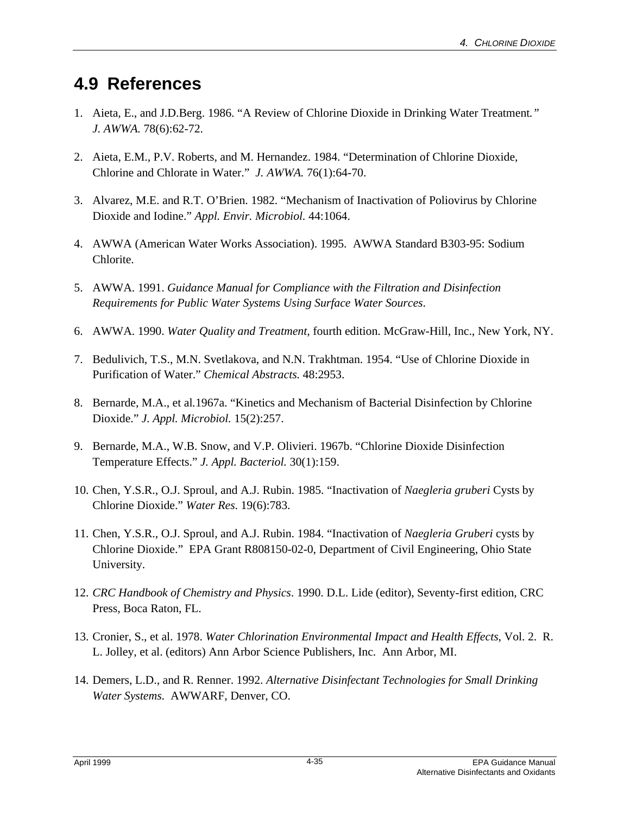# **4.9 References**

- 1. Aieta, E., and J.D.Berg. 1986. "A Review of Chlorine Dioxide in Drinking Water Treatment*." J. AWWA.* 78(6):62-72.
- 2. Aieta, E.M., P.V. Roberts, and M. Hernandez. 1984. "Determination of Chlorine Dioxide, Chlorine and Chlorate in Water." *J. AWWA.* 76(1):64-70.
- 3. Alvarez, M.E. and R.T. O'Brien. 1982. "Mechanism of Inactivation of Poliovirus by Chlorine Dioxide and Iodine." *Appl. Envir. Microbiol.* 44:1064.
- 4. AWWA (American Water Works Association). 1995. AWWA Standard B303-95: Sodium Chlorite.
- 5. AWWA. 1991. *Guidance Manual for Compliance with the Filtration and Disinfection Requirements for Public Water Systems Using Surface Water Sources*.
- 6. AWWA. 1990. *Water Quality and Treatment,* fourth edition. McGraw-Hill, Inc., New York, NY.
- 7. Bedulivich, T.S., M.N. Svetlakova, and N.N. Trakhtman. 1954. "Use of Chlorine Dioxide in Purification of Water." *Chemical Abstracts.* 48:2953.
- 8. Bernarde, M.A., et al*.*1967a. "Kinetics and Mechanism of Bacterial Disinfection by Chlorine Dioxide." *J. Appl. Microbiol.* 15(2):257.
- 9. Bernarde, M.A., W.B. Snow, and V.P. Olivieri. 1967b. "Chlorine Dioxide Disinfection Temperature Effects." *J. Appl. Bacteriol.* 30(1):159.
- 10. Chen, Y.S.R., O.J. Sproul, and A.J. Rubin. 1985. "Inactivation of *Naegleria gruberi* Cysts by Chlorine Dioxide." *Water Res*. 19(6):783.
- 11. Chen, Y.S.R., O.J. Sproul, and A.J. Rubin. 1984. "Inactivation of *Naegleria Gruberi* cysts by Chlorine Dioxide." EPA Grant R808150-02-0, Department of Civil Engineering, Ohio State University.
- 12. *CRC Handbook of Chemistry and Physics*. 1990. D.L. Lide (editor), Seventy-first edition, CRC Press, Boca Raton, FL.
- 13. Cronier, S., et al. 1978. *Water Chlorination Environmental Impact and Health Effects*, Vol. 2. R. L. Jolley, et al. (editors) Ann Arbor Science Publishers, Inc. Ann Arbor, MI.
- 14. Demers, L.D., and R. Renner. 1992. *Alternative Disinfectant Technologies for Small Drinking Water Systems*. AWWARF, Denver, CO.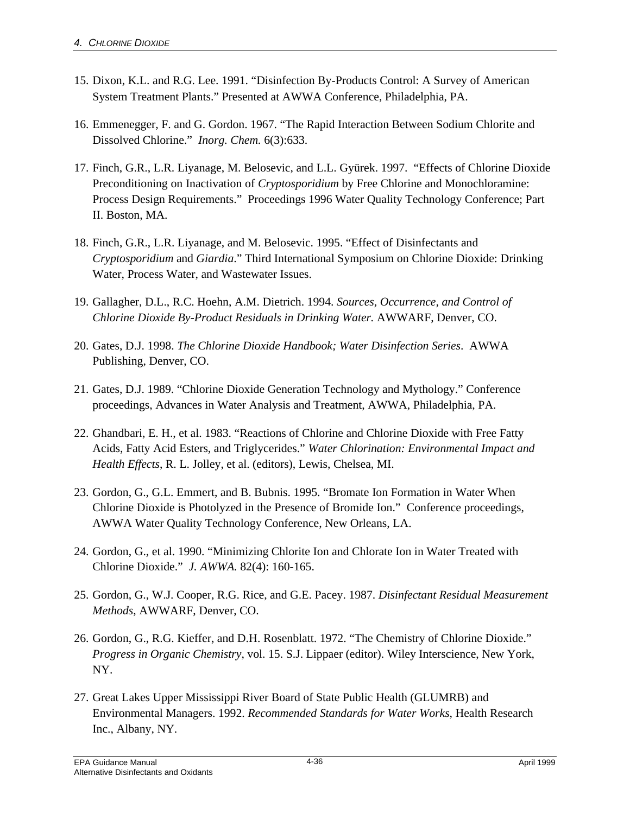- 15. Dixon, K.L. and R.G. Lee. 1991. "Disinfection By-Products Control: A Survey of American System Treatment Plants." Presented at AWWA Conference, Philadelphia, PA.
- 16. Emmenegger, F. and G. Gordon. 1967. "The Rapid Interaction Between Sodium Chlorite and Dissolved Chlorine." *Inorg. Chem.* 6(3):633.
- 17. Finch, G.R., L.R. Liyanage, M. Belosevic, and L.L. Gyürek. 1997. "Effects of Chlorine Dioxide Preconditioning on Inactivation of *Cryptosporidium* by Free Chlorine and Monochloramine: Process Design Requirements." Proceedings 1996 Water Quality Technology Conference; Part II. Boston, MA.
- 18. Finch, G.R., L.R. Liyanage, and M. Belosevic. 1995. "Effect of Disinfectants and *Cryptosporidium* and *Giardia*." Third International Symposium on Chlorine Dioxide: Drinking Water, Process Water, and Wastewater Issues.
- 19. Gallagher, D.L., R.C. Hoehn, A.M. Dietrich. 1994. *Sources, Occurrence, and Control of Chlorine Dioxide By-Product Residuals in Drinking Water.* AWWARF, Denver, CO.
- 20. Gates, D.J. 1998. *The Chlorine Dioxide Handbook; Water Disinfection Series*. AWWA Publishing, Denver, CO.
- 21. Gates, D.J. 1989. "Chlorine Dioxide Generation Technology and Mythology." Conference proceedings, Advances in Water Analysis and Treatment, AWWA, Philadelphia, PA.
- 22. Ghandbari, E. H., et al. 1983. "Reactions of Chlorine and Chlorine Dioxide with Free Fatty Acids, Fatty Acid Esters, and Triglycerides." *Water Chlorination: Environmental Impact and Health Effects*, R. L. Jolley, et al. (editors), Lewis, Chelsea, MI.
- 23. Gordon, G., G.L. Emmert, and B. Bubnis. 1995. "Bromate Ion Formation in Water When Chlorine Dioxide is Photolyzed in the Presence of Bromide Ion." Conference proceedings, AWWA Water Quality Technology Conference, New Orleans, LA.
- 24. Gordon, G., et al. 1990. "Minimizing Chlorite Ion and Chlorate Ion in Water Treated with Chlorine Dioxide." *J. AWWA.* 82(4): 160-165.
- 25. Gordon, G., W.J. Cooper, R.G. Rice, and G.E. Pacey. 1987. *Disinfectant Residual Measurement Methods*, AWWARF, Denver, CO.
- 26. Gordon, G., R.G. Kieffer, and D.H. Rosenblatt. 1972. "The Chemistry of Chlorine Dioxide." *Progress in Organic Chemistry*, vol. 15. S.J. Lippaer (editor). Wiley Interscience, New York, NY.
- 27. Great Lakes Upper Mississippi River Board of State Public Health (GLUMRB) and Environmental Managers. 1992. *Recommended Standards for Water Works*, Health Research Inc., Albany, NY.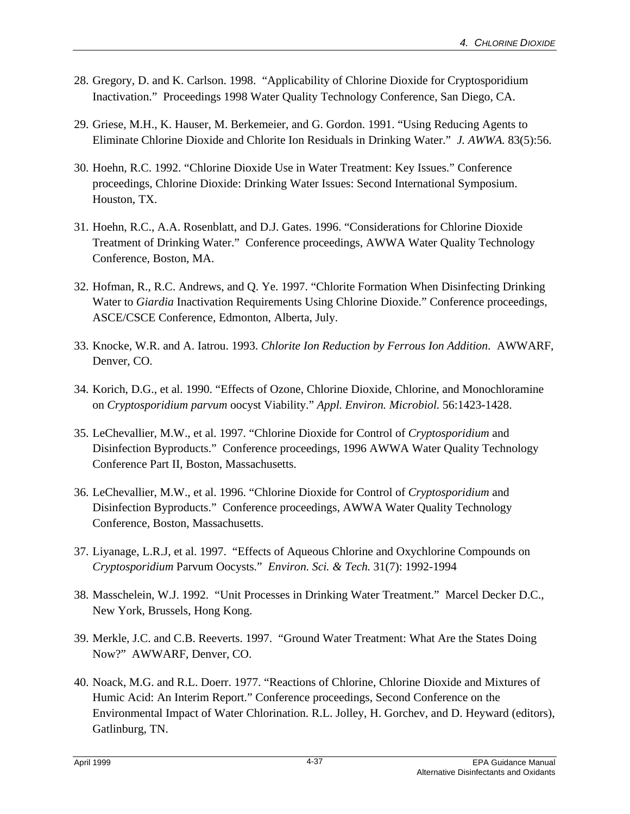- 28. Gregory, D. and K. Carlson. 1998. "Applicability of Chlorine Dioxide for Cryptosporidium Inactivation." Proceedings 1998 Water Quality Technology Conference, San Diego, CA.
- 29. Griese, M.H., K. Hauser, M. Berkemeier, and G. Gordon. 1991. "Using Reducing Agents to Eliminate Chlorine Dioxide and Chlorite Ion Residuals in Drinking Water." *J. AWWA.* 83(5):56.
- 30. Hoehn, R.C. 1992. "Chlorine Dioxide Use in Water Treatment: Key Issues." Conference proceedings, Chlorine Dioxide: Drinking Water Issues: Second International Symposium. Houston, TX.
- 31. Hoehn, R.C., A.A. Rosenblatt, and D.J. Gates. 1996. "Considerations for Chlorine Dioxide Treatment of Drinking Water." Conference proceedings, AWWA Water Quality Technology Conference, Boston, MA.
- 32. Hofman, R., R.C. Andrews, and Q. Ye. 1997. "Chlorite Formation When Disinfecting Drinking Water to *Giardia* Inactivation Requirements Using Chlorine Dioxide." Conference proceedings, ASCE/CSCE Conference, Edmonton, Alberta, July.
- 33. Knocke, W.R. and A. Iatrou. 1993. *Chlorite Ion Reduction by Ferrous Ion Addition*. AWWARF, Denver, CO.
- 34. Korich, D.G., et al. 1990. "Effects of Ozone, Chlorine Dioxide, Chlorine, and Monochloramine on *Cryptosporidium parvum* oocyst Viability." *Appl. Environ. Microbiol.* 56:1423-1428.
- 35. LeChevallier, M.W., et al. 1997. "Chlorine Dioxide for Control of *Cryptosporidium* and Disinfection Byproducts." Conference proceedings, 1996 AWWA Water Quality Technology Conference Part II, Boston, Massachusetts.
- 36. LeChevallier, M.W., et al. 1996. "Chlorine Dioxide for Control of *Cryptosporidium* and Disinfection Byproducts." Conference proceedings, AWWA Water Quality Technology Conference, Boston, Massachusetts.
- 37. Liyanage, L.R.J, et al. 1997. "Effects of Aqueous Chlorine and Oxychlorine Compounds on *Cryptosporidium* Parvum Oocysts." *Environ. Sci. & Tech.* 31(7): 1992-1994
- 38. Masschelein, W.J. 1992. "Unit Processes in Drinking Water Treatment." Marcel Decker D.C., New York, Brussels, Hong Kong.
- 39. Merkle, J.C. and C.B. Reeverts. 1997. "Ground Water Treatment: What Are the States Doing Now?" AWWARF, Denver, CO.
- 40. Noack, M.G. and R.L. Doerr. 1977. "Reactions of Chlorine, Chlorine Dioxide and Mixtures of Humic Acid: An Interim Report." Conference proceedings, Second Conference on the Environmental Impact of Water Chlorination. R.L. Jolley, H. Gorchev, and D. Heyward (editors), Gatlinburg, TN.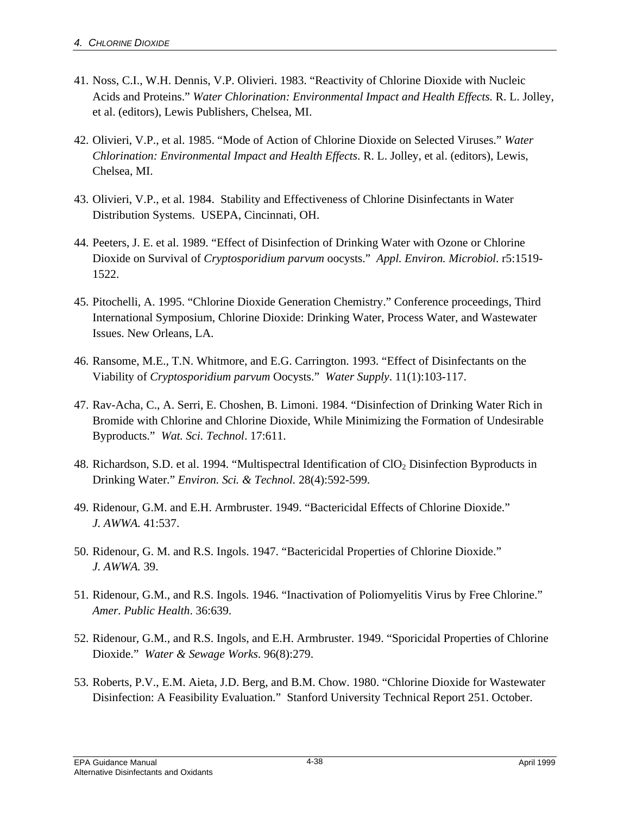- 41. Noss, C.I., W.H. Dennis, V.P. Olivieri. 1983. "Reactivity of Chlorine Dioxide with Nucleic Acids and Proteins." *Water Chlorination: Environmental Impact and Health Effects.* R. L. Jolley, et al. (editors), Lewis Publishers, Chelsea, MI.
- 42. Olivieri, V.P., et al. 1985. "Mode of Action of Chlorine Dioxide on Selected Viruses." *Water Chlorination: Environmental Impact and Health Effects*. R. L. Jolley, et al. (editors), Lewis, Chelsea, MI.
- 43. Olivieri, V.P., et al. 1984. Stability and Effectiveness of Chlorine Disinfectants in Water Distribution Systems. USEPA, Cincinnati, OH.
- 44. Peeters, J. E. et al. 1989. "Effect of Disinfection of Drinking Water with Ozone or Chlorine Dioxide on Survival of *Cryptosporidium parvum* oocysts." *Appl. Environ. Microbiol*. r5:1519- 1522.
- 45. Pitochelli, A. 1995. "Chlorine Dioxide Generation Chemistry." Conference proceedings, Third International Symposium, Chlorine Dioxide: Drinking Water, Process Water, and Wastewater Issues. New Orleans, LA.
- 46. Ransome, M.E., T.N. Whitmore, and E.G. Carrington. 1993. "Effect of Disinfectants on the Viability of *Cryptosporidium parvum* Oocysts." *Water Supply*. 11(1):103-117.
- 47. Rav-Acha, C., A. Serri, E. Choshen, B. Limoni. 1984. "Disinfection of Drinking Water Rich in Bromide with Chlorine and Chlorine Dioxide, While Minimizing the Formation of Undesirable Byproducts." *Wat. Sci. Technol*. 17:611.
- 48. Richardson, S.D. et al. 1994. "Multispectral Identification of ClO<sub>2</sub> Disinfection Byproducts in Drinking Water." *Environ. Sci. & Technol.* 28(4):592-599.
- 49. Ridenour, G.M. and E.H. Armbruster. 1949. "Bactericidal Effects of Chlorine Dioxide." *J. AWWA.* 41:537.
- 50. Ridenour, G. M. and R.S. Ingols. 1947. "Bactericidal Properties of Chlorine Dioxide." *J. AWWA.* 39.
- 51. Ridenour, G.M., and R.S. Ingols. 1946. "Inactivation of Poliomyelitis Virus by Free Chlorine." *Amer. Public Health*. 36:639.
- 52. Ridenour, G.M., and R.S. Ingols, and E.H. Armbruster. 1949. "Sporicidal Properties of Chlorine Dioxide." *Water & Sewage Works*. 96(8):279.
- 53. Roberts, P.V., E.M. Aieta, J.D. Berg, and B.M. Chow. 1980. "Chlorine Dioxide for Wastewater Disinfection: A Feasibility Evaluation." Stanford University Technical Report 251. October.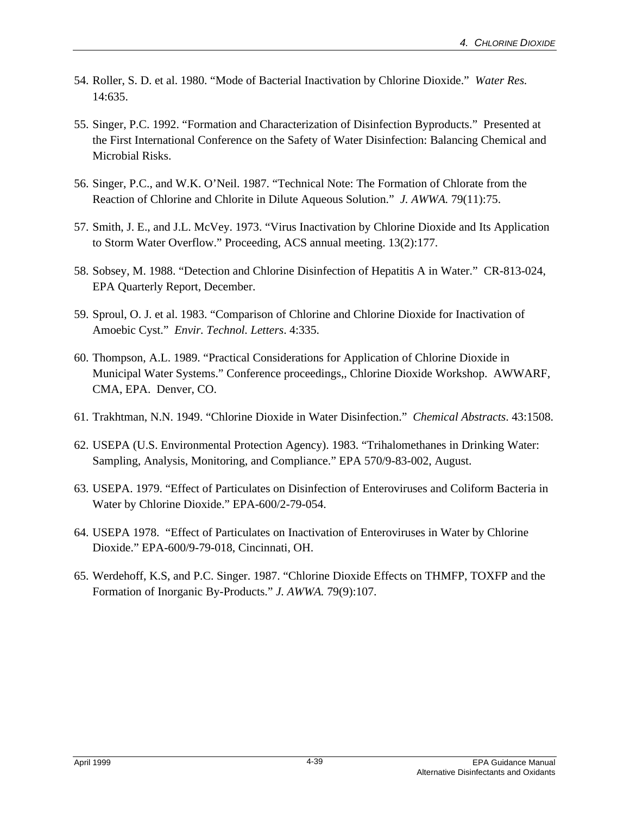- 54. Roller, S. D. et al. 1980. "Mode of Bacterial Inactivation by Chlorine Dioxide." *Water Res.* 14:635.
- 55. Singer, P.C. 1992. "Formation and Characterization of Disinfection Byproducts." Presented at the First International Conference on the Safety of Water Disinfection: Balancing Chemical and Microbial Risks.
- 56. Singer, P.C., and W.K. O'Neil. 1987. "Technical Note: The Formation of Chlorate from the Reaction of Chlorine and Chlorite in Dilute Aqueous Solution." *J. AWWA.* 79(11):75.
- 57. Smith, J. E., and J.L. McVey. 1973. "Virus Inactivation by Chlorine Dioxide and Its Application to Storm Water Overflow." Proceeding, ACS annual meeting. 13(2):177.
- 58. Sobsey, M. 1988. "Detection and Chlorine Disinfection of Hepatitis A in Water." CR-813-024, EPA Quarterly Report, December.
- 59. Sproul, O. J. et al. 1983. "Comparison of Chlorine and Chlorine Dioxide for Inactivation of Amoebic Cyst." *Envir. Technol. Letters*. 4:335.
- 60. Thompson, A.L. 1989. "Practical Considerations for Application of Chlorine Dioxide in Municipal Water Systems." Conference proceedings,, Chlorine Dioxide Workshop. AWWARF, CMA, EPA. Denver, CO.
- 61. Trakhtman, N.N. 1949. "Chlorine Dioxide in Water Disinfection." *Chemical Abstracts*. 43:1508.
- 62. USEPA (U.S. Environmental Protection Agency). 1983. "Trihalomethanes in Drinking Water: Sampling, Analysis, Monitoring, and Compliance." EPA 570/9-83-002, August.
- 63. USEPA. 1979. "Effect of Particulates on Disinfection of Enteroviruses and Coliform Bacteria in Water by Chlorine Dioxide." EPA-600/2-79-054.
- 64. USEPA 1978. "Effect of Particulates on Inactivation of Enteroviruses in Water by Chlorine Dioxide." EPA-600/9-79-018, Cincinnati, OH.
- 65. Werdehoff, K.S, and P.C. Singer. 1987. "Chlorine Dioxide Effects on THMFP, TOXFP and the Formation of Inorganic By-Products." *J. AWWA.* 79(9):107.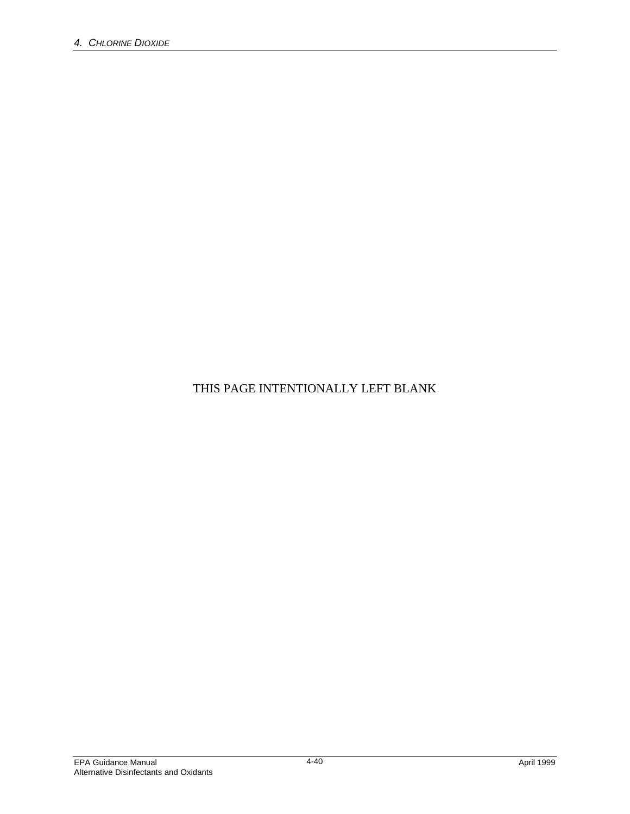#### THIS PAGE INTENTIONALLY LEFT BLANK